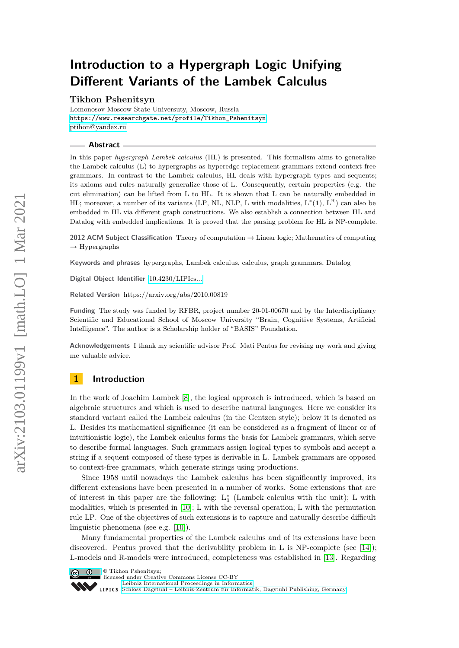# **Introduction to a Hypergraph Logic Unifying Different Variants of the Lambek Calculus**

**Tikhon Pshenitsyn**

Lomonosov Moscow State Universuty, Moscow, Russia [https://www.researchgate.net/profile/Tikhon\\_Pshenitsyn](https://www.researchgate.net/profile/Tikhon_Pshenitsyn) [ptihon@yandex.ru](mailto:ptihon@yandex.ru)

**Abstract**

In this paper *hypergraph Lambek calculus* (HL) is presented. This formalism aims to generalize the Lambek calculus (L) to hypergraphs as hyperedge replacement grammars extend context-free grammars. In contrast to the Lambek calculus, HL deals with hypergraph types and sequents; its axioms and rules naturally generalize those of L. Consequently, certain properties (e.g. the cut elimination) can be lifted from L to HL. It is shown that L can be naturally embedded in HL; moreover, a number of its variants (LP, NL, NLP, L with modalities,  $L^*(1)$ ,  $L^R$ ) can also be embedded in HL via different graph constructions. We also establish a connection between HL and Datalog with embedded implications. It is proved that the parsing problem for HL is NP-complete.

**2012 ACM Subject Classification** Theory of computation → Linear logic; Mathematics of computing  $\rightarrow$  Hypergraphs

**Keywords and phrases** hypergraphs, Lambek calculus, calculus, graph grammars, Datalog

**Digital Object Identifier** [10.4230/LIPIcs...](https://doi.org/10.4230/LIPIcs...)

**Related Version** https://arxiv.org/abs/2010.00819

**Funding** The study was funded by RFBR, project number 20-01-00670 and by the Interdisciplinary Scientific and Educational School of Moscow University "Brain, Cognitive Systems, Artificial Intelligence". The author is a Scholarship holder of "BASIS" Foundation.

**Acknowledgements** I thank my scientific advisor Prof. Mati Pentus for revising my work and giving me valuable advice.

# **1 Introduction**

In the work of Joachim Lambek [\[8\]](#page-16-0), the logical approach is introduced, which is based on algebraic structures and which is used to describe natural languages. Here we consider its standard variant called the Lambek calculus (in the Gentzen style); below it is denoted as L. Besides its mathematical significance (it can be considered as a fragment of linear or of intuitionistic logic), the Lambek calculus forms the basis for Lambek grammars, which serve to describe formal languages. Such grammars assign logical types to symbols and accept a string if a sequent composed of these types is derivable in L. Lambek grammars are opposed to context-free grammars, which generate strings using productions.

Since 1958 until nowadays the Lambek calculus has been significantly improved, its different extensions have been presented in a number of works. Some extensions that are of interest in this paper are the following:  $L_1^*$  (Lambek calculus with the unit); L with modalities, which is presented in [\[10\]](#page-17-0); L with the reversal operation; L with the permutation rule LP. One of the objectives of such extensions is to capture and naturally describe difficult linguistic phenomena (see e.g. [\[10\]](#page-17-0)).

Many fundamental properties of the Lambek calculus and of its extensions have been discovered. Pentus proved that the derivability problem in L is  $NP$ -complete (see [\[14\]](#page-17-1)); L-models and R-models were introduced, completeness was established in [\[13\]](#page-17-2). Regarding



© Tikhon Pshenitsyn;

[Schloss Dagstuhl – Leibniz-Zentrum für Informatik, Dagstuhl Publishing, Germany](https://www.dagstuhl.de)

licensed under Creative Commons License CC-BY [Leibniz International Proceedings in Informatics](https://www.dagstuhl.de/lipics/)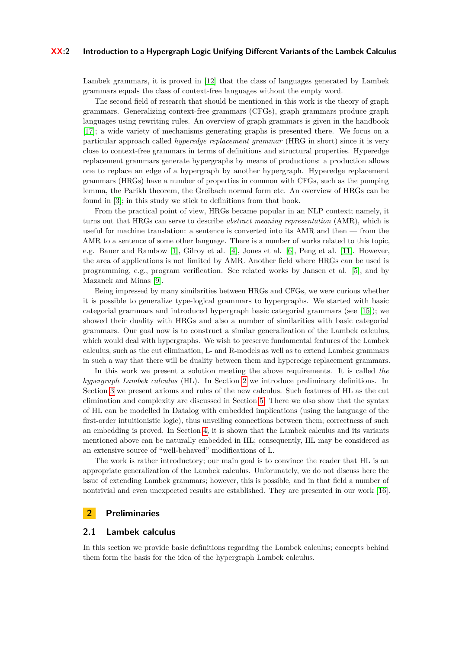#### **XX:2 Introduction to a Hypergraph Logic Unifying Different Variants of the Lambek Calculus**

Lambek grammars, it is proved in [\[12\]](#page-17-3) that the class of languages generated by Lambek grammars equals the class of context-free languages without the empty word.

The second field of research that should be mentioned in this work is the theory of graph grammars. Generalizing context-free grammars (CFGs), graph grammars produce graph languages using rewriting rules. An overview of graph grammars is given in the handbook [\[17\]](#page-17-4); a wide variety of mechanisms generating graphs is presented there. We focus on a particular approach called *hyperedge replacement grammar* (HRG in short) since it is very close to context-free grammars in terms of definitions and structural properties. Hyperedge replacement grammars generate hypergraphs by means of productions: a production allows one to replace an edge of a hypergraph by another hypergraph. Hyperedge replacement grammars (HRGs) have a number of properties in common with CFGs, such as the pumping lemma, the Parikh theorem, the Greibach normal form etc. An overview of HRGs can be found in [\[3\]](#page-16-1); in this study we stick to definitions from that book.

From the practical point of view, HRGs became popular in an NLP context; namely, it turns out that HRGs can serve to describe *abstract meaning representation* (AMR), which is useful for machine translation: a sentence is converted into its AMR and then — from the AMR to a sentence of some other language. There is a number of works related to this topic, e.g. Bauer and Rambow [\[1\]](#page-16-2), Gilroy et al. [\[4\]](#page-16-3), Jones et al. [\[6\]](#page-16-4), Peng et al. [\[11\]](#page-17-5). However, the area of applications is not limited by AMR. Another field where HRGs can be used is programming, e.g., program verification. See related works by Jansen et al. [\[5\]](#page-16-5), and by Mazanek and Minas [\[9\]](#page-17-6).

Being impressed by many similarities between HRGs and CFGs, we were curious whether it is possible to generalize type-logical grammars to hypergraphs. We started with basic categorial grammars and introduced hypergraph basic categorial grammars (see [\[15\]](#page-17-7)); we showed their duality with HRGs and also a number of similarities with basic categorial grammars. Our goal now is to construct a similar generalization of the Lambek calculus, which would deal with hypergraphs. We wish to preserve fundamental features of the Lambek calculus, such as the cut elimination, L- and R-models as well as to extend Lambek grammars in such a way that there will be duality between them and hyperedge replacement grammars.

In this work we present a solution meeting the above requirements. It is called *the hypergraph Lambek calculus* (HL). In Section [2](#page-1-0) we introduce preliminary definitions. In Section [3](#page-4-0) we present axioms and rules of the new calculus. Such features of HL as the cut elimination and complexity are discussed in Section [5.](#page-13-0) There we also show that the syntax of HL can be modelled in Datalog with embedded implications (using the language of the first-order intuitionistic logic), thus unveiling connections between them; correctness of such an embedding is proved. In Section [4,](#page-8-0) it is shown that the Lambek calculus and its variants mentioned above can be naturally embedded in HL; consequently, HL may be considered as an extensive source of "well-behaved" modifications of L.

The work is rather introductory; our main goal is to convince the reader that HL is an appropriate generalization of the Lambek calculus. Unforunately, we do not discuss here the issue of extending Lambek grammars; however, this is possible, and in that field a number of nontrivial and even unexpected results are established. They are presented in our work [\[16\]](#page-17-8).

#### <span id="page-1-0"></span>**2 Preliminaries**

#### **2.1 Lambek calculus**

In this section we provide basic definitions regarding the Lambek calculus; concepts behind them form the basis for the idea of the hypergraph Lambek calculus.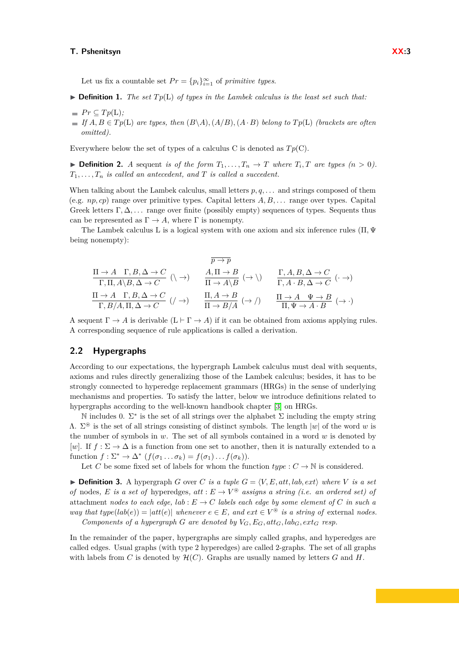Let us fix a countable set  $Pr = {p_i}_{i=1}^{\infty}$  of *primitive types*.

- $\triangleright$  **Definition 1.** *The set*  $Tp(L)$  *of types in the Lambek calculus is the least set such that:*
- $\blacksquare$  *Pr*  $\subseteq$  *Tp*(**L**)*;*
- $\blacksquare$  *If*  $A, B \in Tp(\mathbf{L})$  *are types, then*  $(B \setminus A), (A/B), (A \cdot B)$  *belong to*  $Tp(\mathbf{L})$  *(brackets are often*) *omitted).*

Everywhere below the set of types of a calculus C is denoted as  $T_p(C)$ .

 $\blacktriangleright$  **Definition 2.** *A* sequent *is of the form*  $T_1, \ldots, T_n \to T$  *where*  $T_i, T$  *are types*  $(n > 0)$ *.*  $T_1, \ldots, T_n$  *is called an antecedent, and*  $T$  *is called a succedent.* 

When talking about the Lambek calculus, small letters  $p, q, \ldots$  and strings composed of them (e.g. *np, cp*) range over primitive types. Capital letters *A, B, . . .* range over types. Capital Greek letters Γ*,* ∆*, . . .* range over finite (possibly empty) sequences of types. Sequents thus can be represented as  $\Gamma \to A$ , where  $\Gamma$  is nonempty.

The Lambek calculus L is a logical system with one axiom and six inference rules (Π*,* Ψ being nonempty):

$$
\frac{\Pi \to A \quad \Gamma, B, \Delta \to C}{\Gamma, \Pi, A \setminus B, \Delta \to C} \quad (\setminus \to) \qquad \frac{A, \Pi \to B}{\Pi \to A \setminus B} \quad (\to \setminus) \qquad \frac{\Gamma, A, B, \Delta \to C}{\Gamma, A \cdot B, \Delta \to C} \quad (\cdot \to)
$$
\n
$$
\frac{\Pi \to A \quad \Gamma, B, \Delta \to C}{\Gamma, B/A, \Pi, \Delta \to C} \quad (\neq \to) \qquad \frac{\Pi, A \to B}{\Pi \to B/A} \quad (\to \neq) \qquad \frac{\Pi \to A \quad \Psi \to B}{\Pi, \Psi \to A \cdot B} \quad (\to \cdot)
$$

A sequent  $\Gamma \to A$  is derivable  $(L \vdash \Gamma \to A)$  if it can be obtained from axioms applying rules. A corresponding sequence of rule applications is called a derivation.

# <span id="page-2-1"></span>**2.2 Hypergraphs**

According to our expectations, the hypergraph Lambek calculus must deal with sequents, axioms and rules directly generalizing those of the Lambek calculus; besides, it has to be strongly connected to hyperedge replacement grammars (HRGs) in the sense of underlying mechanisms and properties. To satisfy the latter, below we introduce definitions related to hypergraphs according to the well-known handbook chapter [\[3\]](#page-16-1) on HRGs.

N includes 0.  $\Sigma^*$  is the set of all strings over the alphabet  $\Sigma$  including the empty string  $\Lambda$ .  $\Sigma^*$  is the set of all strings consisting of distinct symbols. The length  $|w|$  of the word *w* is the number of symbols in *w*. The set of all symbols contained in a word *w* is denoted by [w]. If  $f: \Sigma \to \Delta$  is a function from one set to another, then it is naturally extended to a function  $f: \Sigma^* \to \Delta^*$   $(f(\sigma_1 \dots \sigma_k) = f(\sigma_1) \dots f(\sigma_k)).$ 

Let *C* be some fixed set of labels for whom the function  $type: C \to \mathbb{N}$  is considered.

<span id="page-2-0"></span> $\triangleright$  **Definition 3.** A hypergraph *G* over *C is a tuple*  $G = \langle V, E, att, lab, ext \rangle$  *where V is a set of* nodes, *E is a set of* hyperedges,  $att : E \to V^*$  assigns a string (i.e. an ordered set) of attachment *nodes to each edge,*  $lab: E \rightarrow C$  *labels each edge by some element of C in such a way that type* $(lab(e)) = |att(e)|$  *whenever*  $e \in E$ *, and*  $ext \in V^{\circledast}$  *is a string of* external *nodes. Components of a hypergraph G* are denoted by  $V_G$ ,  $E_G$ ,  $att_G$ ,  $lab_G$ ,  $ext_G$  resp.

In the remainder of the paper, hypergraphs are simply called graphs, and hyperedges are called edges. Usual graphs (with type 2 hyperedges) are called 2-graphs. The set of all graphs with labels from *C* is denoted by  $\mathcal{H}(C)$ . Graphs are usually named by letters *G* and *H*.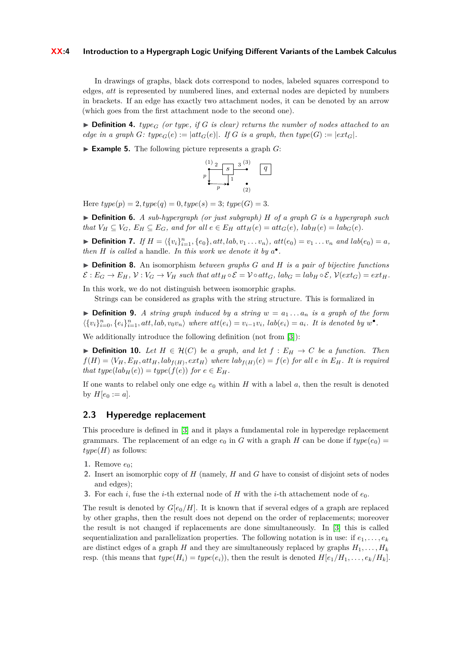#### **XX:4 Introduction to a Hypergraph Logic Unifying Different Variants of the Lambek Calculus**

In drawings of graphs, black dots correspond to nodes, labeled squares correspond to edges, *att* is represented by numbered lines, and external nodes are depicted by numbers in brackets. If an edge has exactly two attachment nodes, it can be denoted by an arrow (which goes from the first attachment node to the second one).

 $\triangleright$  **Definition 4.** *type<sub>G</sub>* (or *type*, *if G is clear*) returns the number of nodes attached to an *edge in a graph*  $G$ *: type* $_G$ (*e*) :=  $|$ *att* $_G$ (*e*)|*. If*  $G$  *is a graph, then type*( $G$ ) :=  $|$ *ext* $_G$ |*.* 

 $\blacktriangleright$  **Example 5.** The following picture represents a graph *G*:



Here  $type(p) = 2, type(q) = 0, type(s) = 3; type(G) = 3.$ 

I **Definition 6.** *A sub-hypergraph (or just subgraph) H of a graph G is a hypergraph such* that  $V_H \subseteq V_G$ ,  $E_H \subseteq E_G$ , and for all  $e \in E_H$  att $H(e) = att_G(e)$ ,  $lab_H(e) = lab_G(e)$ .

► Definition 7. If  $H = \langle \{v_i\}_{i=1}^n, \{e_0\}, att, lab, v_1 \ldots v_n \rangle, att(e_0) = v_1 \ldots v_n$  and  $lab(e_0) = a$ , *then H is called* a handle. In this work we denote it by  $a^{\bullet}$ .

I **Definition 8.** An isomorphism *between graphs G and H is a pair of bijective functions*  $\mathcal{E}: E_G \to E_H$ ,  $\mathcal{V}: V_G \to V_H$  such that  $\mathrm{att}_H \circ \mathcal{E} = \mathcal{V} \circ \mathrm{att}_G$ ,  $\mathrm{lab}_G = \mathrm{lab}_H \circ \mathcal{E}$ ,  $\mathcal{V}(\mathrm{ext}_G) = \mathrm{ext}_H$ .

In this work, we do not distinguish between isomorphic graphs.

Strings can be considered as graphs with the string structure. This is formalized in

<span id="page-3-0"></span> $\triangleright$  **Definition 9.** *A string graph induced by a string*  $w = a_1 \dots a_n$  *is a graph of the form*  $\langle \{v_i\}_{i=0}^n, \{e_i\}_{i=1}^n, att, lab, v_0v_n \rangle$  where  $att(e_i) = v_{i-1}v_i$ ,  $lab(e_i) = a_i$ . It is denoted by  $w^{\bullet}$ .

We additionally introduce the following definition (not from [\[3\]](#page-16-1)):

**► Definition 10.** Let  $H \in \mathcal{H}(C)$  be a graph, and let  $f : E_H \to C$  be a function. Then  $f(H) = \langle V_H, E_H, att_H, lab_{f(H)}, ext_H \rangle$  where  $lab_{f(H)}(e) = f(e)$  for all e in  $E_H$ . It is required *that*  $type(lab_H(e)) = type(f(e))$  *for*  $e \in E_H$ .

If one wants to relabel only one edge  $e_0$  within  $H$  with a label  $a$ , then the result is denoted by  $H[e_0 := a]$ .

#### **2.3 Hyperedge replacement**

This procedure is defined in [\[3\]](#page-16-1) and it plays a fundamental role in hyperedge replacement grammars. The replacement of an edge  $e_0$  in *G* with a graph *H* can be done if  $type(e_0)$  $type(H)$  as follows:

- 1. Remove  $e_0$ ;
- **2.** Insert an isomorphic copy of *H* (namely, *H* and *G* have to consist of disjoint sets of nodes and edges);
- **3.** For each *i*, fuse the *i*-th external node of *H* with the *i*-th attachement node of  $e_0$ .

The result is denoted by  $G[e_0/H]$ . It is known that if several edges of a graph are replaced by other graphs, then the result does not depend on the order of replacements; moreover the result is not changed if replacements are done simultaneously. In [\[3\]](#page-16-1) this is called sequentialization and parallelization properties. The following notation is in use: if  $e_1, \ldots, e_k$ are distinct edges of a graph *H* and they are simultaneously replaced by graphs  $H_1, \ldots, H_k$ resp. (this means that  $type(H_i) = type(e_i)$ ), then the result is denoted  $H[e_1/H_1, \ldots, e_k/H_k]$ .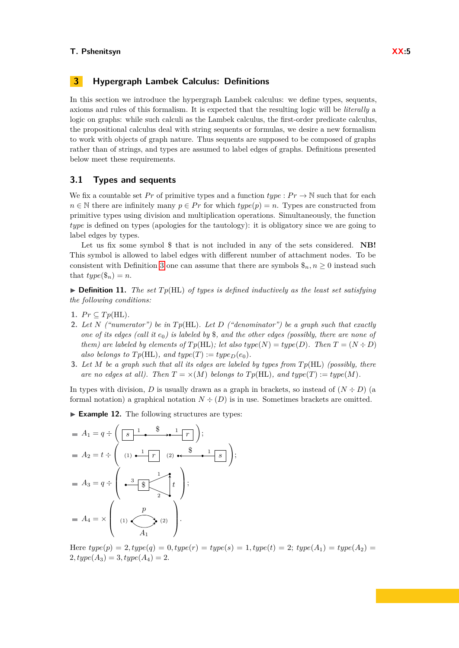# <span id="page-4-0"></span>**3 Hypergraph Lambek Calculus: Definitions**

In this section we introduce the hypergraph Lambek calculus: we define types, sequents, axioms and rules of this formalism. It is expected that the resulting logic will be *literally* a logic on graphs: while such calculi as the Lambek calculus, the first-order predicate calculus, the propositional calculus deal with string sequents or formulas, we desire a new formalism to work with objects of graph nature. Thus sequents are supposed to be composed of graphs rather than of strings, and types are assumed to label edges of graphs. Definitions presented below meet these requirements.

#### **3.1 Types and sequents**

We fix a countable set Pr of primitive types and a function  $type: Pr \to \mathbb{N}$  such that for each  $n \in \mathbb{N}$  there are infinitely many  $p \in Pr$  for which  $type(p) = n$ . Types are constructed from primitive types using division and multiplication operations. Simultaneously, the function *type* is defined on types (apologies for the tautology): it is obligatory since we are going to label edges by types.

Let us fix some symbol \$ that is not included in any of the sets considered. **NB!** This symbol is allowed to label edges with different number of attachment nodes. To be consistent with Definition [3](#page-2-0) one can assume that there are symbols  $\hat{\mathfrak{s}}_n, n \geq 0$  instead such that  $type(\$_n) = n$ .

 $\triangleright$  **Definition 11.** *The set*  $Tp(HL)$  *of types is defined inductively as the least set satisfying the following conditions:*

- 1.  $Pr \subseteq Tp(HL)$ .
- **2.** *Let N ("numerator") be in T p*(HL)*. Let D ("denominator") be a graph such that exactly one of its edges (call it e*0*) is labeled by* \$*, and the other edges (possibly, there are none of them)* are labeled by elements of  $Tp(HL)$ ; let also  $type(N) = type(D)$ . Then  $T = (N \div D)$ *also belongs to*  $Tp(HL)$ *, and*  $type(T) := type_D(e_0)$ *.*
- **3.** *Let M be a graph such that all its edges are labeled by types from T p*(HL) *(possibly, there are no edges at all). Then*  $T = \times (M)$  *belongs to*  $T p(HL)$ *, and type* $(T) := type(M)$ *.*

In types with division, *D* is usually drawn as a graph in brackets, so instead of  $(N \div D)$  (a formal notation) a graphical notation  $N \div (D)$  is in use. Sometimes brackets are omitted.

<span id="page-4-1"></span>► **Example 12.** The following structures are types:

*A*<sup>1</sup> = *q* ÷ *s r* <sup>1</sup> \$ <sup>1</sup> ; *A*<sup>2</sup> = *t* ÷ (1) *r* (2) *s* <sup>1</sup> \$ <sup>1</sup> ! ; *A*<sup>3</sup> = *q* ÷ \$ 3 1 2 *t* ; *A*<sup>4</sup> = × (1) (2) *p A*<sup>1</sup> .

Here  $type(p) = 2, type(q) = 0, type(r) = type(s) = 1, type(t) = 2; type(A_1) = type(A_2) =$  $2, type(A_3) = 3, type(A_4) = 2.$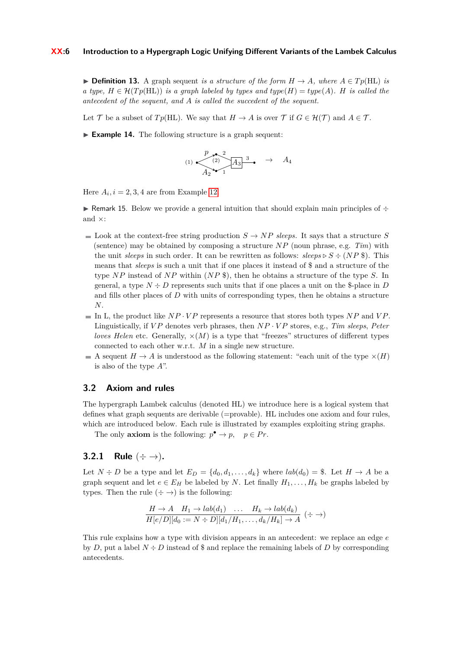#### **XX:6 Introduction to a Hypergraph Logic Unifying Different Variants of the Lambek Calculus**

**► Definition 13.** A graph sequent *is a structure of the form*  $H \rightarrow A$ *, where*  $A \in Tp(HL)$  *is a type,*  $H \in \mathcal{H}(Tp(HL))$  *is a graph labeled by types and type* $(H) = \text{type}(A)$ *. H is called the antecedent of the sequent, and A is called the succedent of the sequent.*

<span id="page-5-0"></span>Let T be a subset of  $T_p(HL)$ . We say that  $H \to A$  is over T if  $G \in \mathcal{H}(\mathcal{T})$  and  $A \in \mathcal{T}$ .

► **Example 14.** The following structure is a graph sequent:

$$
(1) \begin{array}{c} p \rightarrow 2 \\ \hline (2) \rightarrow 4_3 \end{array} \begin{array}{c} A_3 \rightarrow A_4 \end{array}
$$

Here  $A_i$ ,  $i = 2, 3, 4$  are from Example [12.](#page-4-1)

► Remark 15. Below we provide a general intuition that should explain main principles of  $\div$ and  $\times$ 

- $\blacksquare$  Look at the context-free string production  $S \rightarrow NP$  *sleeps*. It says that a structure *S* (sentence) may be obtained by composing a structure *NP* (noun phrase, e.g. *Tim*) with the unit *sleeps* in such order. It can be rewritten as follows:  $sleps \ge S \div (NP \$ ). This means that *sleeps* is such a unit that if one places it instead of \$ and a structure of the type *NP* instead of *NP* within (*NP* \$), then he obtains a structure of the type *S*. In general, a type  $N \div D$  represents such units that if one places a unit on the \$-place in  $D$ and fills other places of *D* with units of corresponding types, then he obtains a structure *N*.
- In L, the product like  $NP \cdot VP$  represents a resource that stores both types  $NP$  and  $VP$ . Linguistically, if *V P* denotes verb phrases, then *NP* · *V P* stores, e.g., *Tim sleeps*, *Peter loves Helen* etc. Generally,  $\times$ (*M*) is a type that "freezes" structures of different types connected to each other w.r.t. *M* in a single new structure.
- A sequent  $H \to A$  is understood as the following statement: "each unit of the type  $\times(H)$ is also of the type *A*".

#### <span id="page-5-1"></span>**3.2 Axiom and rules**

The hypergraph Lambek calculus (denoted HL) we introduce here is a logical system that defines what graph sequents are derivable (=provable). HL includes one axiom and four rules, which are introduced below. Each rule is illustrated by examples exploiting string graphs.

The only **axiom** is the following:  $p^{\bullet} \to p$ ,  $p \in Pr$ .

# **3.2.1** Rule  $(\div \to)$ .

Let  $N \div D$  be a type and let  $E_D = \{d_0, d_1, \ldots, d_k\}$  where  $lab(d_0) =$  \$. Let  $H \rightarrow A$  be a graph sequent and let  $e \in E_H$  be labeled by *N*. Let finally  $H_1, \ldots, H_k$  be graphs labeled by types. Then the rule  $(\div \rightarrow)$  is the following:

$$
\frac{H \to A \quad H_1 \to lab(d_1) \quad \dots \quad H_k \to lab(d_k)}{H[e/D][d_0 := N \div D][d_1/H_1, \dots, d_k/H_k] \to A} \; (\div \to)
$$

This rule explains how a type with division appears in an antecedent: we replace an edge *e* by *D*, put a label  $N \div D$  instead of \$ and replace the remaining labels of *D* by corresponding antecedents.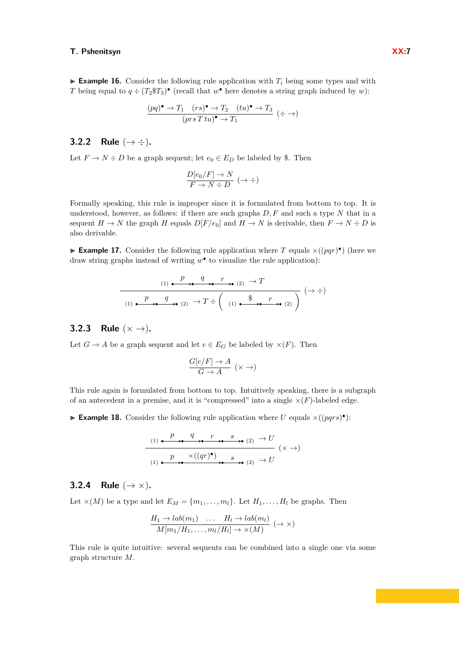**Example 16.** Consider the following rule application with  $T_i$  being some types and with *T* being equal to  $q \div (T_2 \mathcal{F} T_3)$  (recall that  $w^{\bullet}$  here denotes a string graph induced by *w*):

$$
\frac{(pq)^{\bullet} \to T_1 \quad (rs)^{\bullet} \to T_2 \quad (tu)^{\bullet} \to T_3}{(prs \; Tu)^{\bullet} \to T_1} \; (\div \to)
$$

# **3.2.2** Rule  $( \to \div ).$

Let  $F \to N \div D$  be a graph sequent; let  $e_0 \in E_D$  be labeled by \$. Then

$$
\frac{D[e_0/F] \to N}{F \to N \div D} (\to \div)
$$

Formally speaking, this rule is improper since it is formulated from bottom to top. It is understood, however, as follows: if there are such graphs *D, F* and such a type *N* that in a sequent  $H \to N$  the graph *H* equals  $D[F/e_0]$  and  $H \to N$  is derivable, then  $F \to N \div D$  is also derivable.

<span id="page-6-0"></span>**Example 17.** Consider the following rule application where *T* equals  $\times((pqr)^{\bullet})$  (here we draw string graphs instead of writing *w* • to visualize the rule application):

$$
(1) \xrightarrow{p} q \xrightarrow{r} (2) \rightarrow T
$$
\n
$$
(1) \xrightarrow{p} q \xrightarrow{q} (2) \rightarrow T \div \left( (1) \xrightarrow{\$} q \xrightarrow{r} (2) \right) (\rightarrow \div)
$$

# **3.2.3** Rule  $(x \rightarrow)$ .

Let  $G \to A$  be a graph sequent and let  $e \in E_G$  be labeled by  $\times(F)$ . Then

$$
\frac{G[e/F] \to A}{G \to A} \ (\times \to)
$$

This rule again is formulated from bottom to top. Intuitively speaking, there is a subgraph of an antecedent in a premise, and it is "compressed" into a single  $\times(F)$ -labeled edge.

<span id="page-6-1"></span>**Example 18.** Consider the following rule application where *U* equals  $\times((pqrs)^{\bullet})$ :

$$
(1) \xrightarrow{p} \xrightarrow{q} \xrightarrow{r} \xrightarrow{s} \xrightarrow{(2)} \xrightarrow{U}
$$
  

$$
(1) \xrightarrow{p} \xrightarrow{\times((qr)^{\bullet})} \xrightarrow{s} \xrightarrow{s} (2) \xrightarrow{+} U
$$
  

$$
(2) \xrightarrow{+} U
$$

# **3.2.4** Rule  $(\rightarrow \times)$ .

Let  $\times(M)$  be a type and let  $E_M = \{m_1, \ldots, m_l\}$ . Let  $H_1, \ldots, H_l$  be graphs. Then

$$
\frac{H_1 \to lab(m_1) \quad \dots \quad H_l \to lab(m_l)}{M[m_1/H_1, \dots, m_l/H_l] \to \times(M)} \; (\to \times)
$$

This rule is quite intuitive: several sequents can be combined into a single one via some graph structure *M*.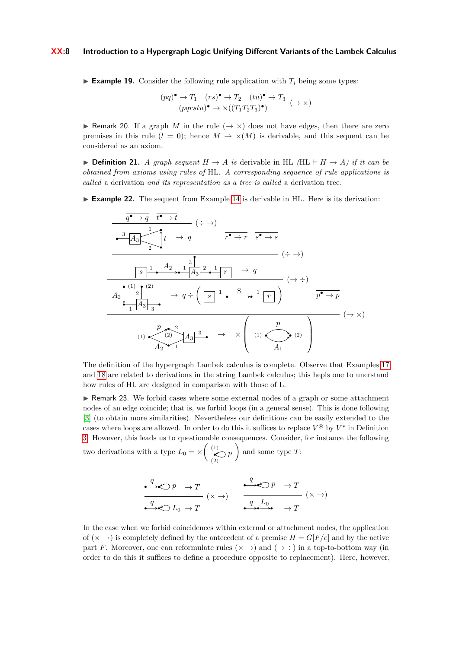#### **XX:8 Introduction to a Hypergraph Logic Unifying Different Variants of the Lambek Calculus**

**Example 19.** Consider the following rule application with  $T_i$  being some types:

$$
\frac{(pq)^{\bullet} \to T_1 \quad (rs)^{\bullet} \to T_2 \quad (tu)^{\bullet} \to T_3}{(pqrstu)^{\bullet} \to \times ((T_1T_2T_3)^{\bullet})} \quad (\to \times)
$$

**If a** graph *M* in the rule  $(\rightarrow \times)$  does not have edges, then there are zero premises in this rule  $(l = 0)$ ; hence  $M \to \times (M)$  is derivable, and this sequent can be considered as an axiom.

**► Definition 21.** *A graph sequent*  $H \rightarrow A$  *is* derivable in HL (HL  $\vdash H \rightarrow A$ ) *if it can be obtained from axioms using rules of* HL*. A corresponding sequence of rule applications is called* a derivation *and its representation as a tree is called* a derivation tree*.*

► **Example 22.** The sequent from Example [14](#page-5-0) is derivable in HL. Here is its derivation:

$$
\frac{q^{\bullet} \rightarrow q \quad t^{\bullet} \rightarrow t}{A_3 \times \frac{1}{2} \times \frac{1}{2} \times \frac{1}{2} \times \frac{1}{2} \times \frac{1}{2} \times \frac{1}{2} \times \frac{1}{2} \times \frac{1}{2} \times \frac{1}{2} \times \frac{1}{2} \times \frac{1}{2} \times \frac{1}{2} \times \frac{1}{2} \times \frac{1}{2} \times \frac{1}{2} \times \frac{1}{2} \times \frac{1}{2} \times \frac{1}{2} \times \frac{1}{2} \times \frac{1}{2} \times \frac{1}{2} \times \frac{1}{2} \times \frac{1}{2} \times \frac{1}{2} \times \frac{1}{2} \times \frac{1}{2} \times \frac{1}{2} \times \frac{1}{2} \times \frac{1}{2} \times \frac{1}{2} \times \frac{1}{2} \times \frac{1}{2} \times \frac{1}{2} \times \frac{1}{2} \times \frac{1}{2} \times \frac{1}{2} \times \frac{1}{2} \times \frac{1}{2} \times \frac{1}{2} \times \frac{1}{2} \times \frac{1}{2} \times \frac{1}{2} \times \frac{1}{2} \times \frac{1}{2} \times \frac{1}{2} \times \frac{1}{2} \times \frac{1}{2} \times \frac{1}{2} \times \frac{1}{2} \times \frac{1}{2} \times \frac{1}{2} \times \frac{1}{2} \times \frac{1}{2} \times \frac{1}{2} \times \frac{1}{2} \times \frac{1}{2} \times \frac{1}{2} \times \frac{1}{2} \times \frac{1}{2} \times \frac{1}{2} \times \frac{1}{2} \times \frac{1}{2} \times \frac{1}{2} \times \frac{1}{2} \times \frac{1}{2} \times \frac{1}{2} \times \frac{1}{2} \times \frac{1}{2} \times \frac{1}{2} \times \frac{1}{2} \times \frac{1}{2} \times \frac{1}{2} \times \frac{1}{2} \times \frac{1}{2} \times \frac{1}{2} \times \frac{1}{2} \times \frac{1}{2} \times \frac{1}{2} \times \frac{1}{2} \times \frac{1}{2} \times \frac{1}{2} \times \frac{1
$$

The definition of the hypergraph Lambek calculus is complete. Observe that Examples [17](#page-6-0) and [18](#page-6-1) are related to derivations in the string Lambek calculus; this hepls one to unerstand how rules of HL are designed in comparison with those of L.

 $\triangleright$  Remark 23. We forbid cases where some external nodes of a graph or some attachment nodes of an edge coincide; that is, we forbid loops (in a general sense). This is done following [\[3\]](#page-16-1) (to obtain more similarities). Nevertheless our definitions can be easily extended to the cases where loops are allowed. In order to do this it suffices to replace  $V^{\circledast}$  by  $V^*$  in Definition [3.](#page-2-0) However, this leads us to questionable consequences. Consider, for instance the following two derivations with a type  $L_0 = \times \left( \frac{1}{2} \right)$  $\left( \begin{matrix} 1 \\ 2 \end{matrix} \right) p$ (2) and some type *T*:

$$
\begin{array}{ccc}\n\bullet & \rightarrow & \bullet & \rightarrow & T \\
\hline\nq & & & & \\
\hline\nq & & & & \\
\hline\nq & & & & \\
\hline\n\end{array} \quad (\times \to) \qquad \begin{array}{ccc}\nq & & \rightarrow & \bullet & \rightarrow & T \\
\hline\nq & & & & \\
\hline\nq & & & & \\
\hline\nq & & & & \\
\hline\nq & & & & \\
\hline\n\end{array} \quad (\times \to)
$$

In the case when we forbid coincidences within external or attachment nodes, the application of  $(\times \rightarrow)$  is completely defined by the antecedent of a premise  $H = G[F/e]$  and by the active part *F*. Moreover, one can reformulate rules  $(\times \rightarrow)$  and  $(\rightarrow \div)$  in a top-to-bottom way (in order to do this it suffices to define a procedure opposite to replacement). Here, however,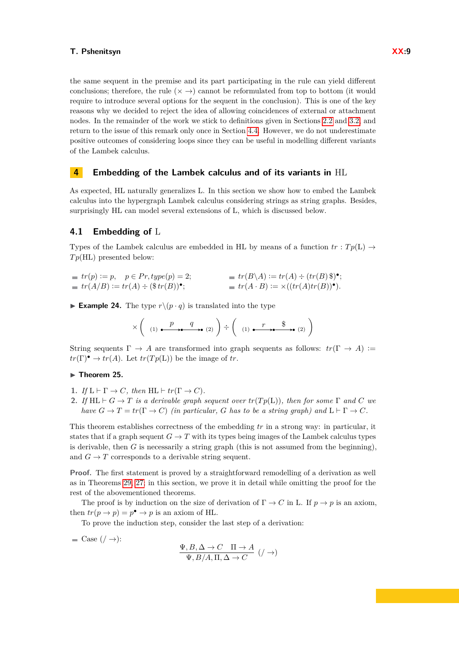the same sequent in the premise and its part participating in the rule can yield different conclusions; therefore, the rule  $(x \rightarrow)$  cannot be reformulated from top to bottom (it would require to introduce several options for the sequent in the conclusion). This is one of the key reasons why we decided to reject the idea of allowing coincidences of external or attachment nodes. In the remainder of the work we stick to definitions given in Sections [2.2](#page-2-1) and [3.2,](#page-5-1) and return to the issue of this remark only once in Section [4.4.](#page-12-0) However, we do not underestimate positive outcomes of considering loops since they can be useful in modelling different variants of the Lambek calculus.

# <span id="page-8-0"></span>**4 Embedding of the Lambek calculus and of its variants in** HL

As expected, HL naturally generalizes L. In this section we show how to embed the Lambek calculus into the hypergraph Lambek calculus considering strings as string graphs. Besides, surprisingly HL can model several extensions of L, which is discussed below.

#### <span id="page-8-1"></span>**4.1 Embedding of** L

Types of the Lambek calculus are embedded in HL by means of a function  $tr : Tp(L) \rightarrow$ *T p*(HL) presented below:

| $tr(p) := p, \quad p \in Pr, type(p) = 2;$     | $= tr(B \backslash A) := tr(A) \div (tr(B) \$ <sup>*</sup> ; |  |
|------------------------------------------------|--------------------------------------------------------------|--|
| $= tr(A/B) := tr(A) \div (\$tr(B))^{\bullet};$ | $= tr(A \cdot B) := \times ((tr(A)tr(B))^{\bullet}).$        |  |

**Example 24.** The type  $r \setminus (p \cdot q)$  is translated into the type

$$
\times \left( \begin{array}{c} p \\ (1) \xrightarrow{\text{p}} \mathbf{0} \end{array} \right) \xrightarrow{\text{q}} \left( \begin{array}{c} q \\ (1) \xrightarrow{\text{p}} \mathbf{0} \end{array} \right)
$$

String sequents  $\Gamma \to A$  are transformed into graph sequents as follows:  $tr(\Gamma \to A) :=$  $tr(\Gamma)$ <sup>•</sup>  $\rightarrow tr(A)$ . Let  $tr(Tp(L))$  be the image of *tr*.

#### <span id="page-8-2"></span> $\blacktriangleright$  Theorem 25.

- **1.** *If*  $L \vdash \Gamma \to C$ *, then*  $HL \vdash tr(\Gamma \to C)$ *.*
- **2.** *If*  $HL \vdash G \to T$  *is a derivable graph sequent over*  $tr(Tp(L))$ *, then for some*  $\Gamma$  *and*  $C$  *we have*  $G \to T = \text{tr}(\Gamma \to C)$  *(in particular, G has to be a string graph) and*  $L \vdash \Gamma \to C$ *.*

This theorem establishes correctness of the embedding *tr* in a strong way: in particular, it states that if a graph sequent  $G \to T$  with its types being images of the Lambek calculus types is derivable, then *G* is necessarily a string graph (this is not assumed from the beginning), and  $G \to T$  corresponds to a derivable string sequent.

**Proof.** The first statement is proved by a straightforward remodelling of a derivation as well as in Theorems [29,](#page-11-0) [27;](#page-10-0) in this section, we prove it in detail while omitting the proof for the rest of the abovementioned theorems.

The proof is by induction on the size of derivation of  $\Gamma \to C$  in L. If  $p \to p$  is an axiom, then  $tr(p \to p) = p^{\bullet} \to p$  is an axiom of HL.

To prove the induction step, consider the last step of a derivation:

 $\blacksquare$  Case  $( / \rightarrow )$ :

$$
\frac{\Psi, B, \Delta \to C \quad \Pi \to A}{\Psi, B/A, \Pi, \Delta \to C} \ (\ / \to)
$$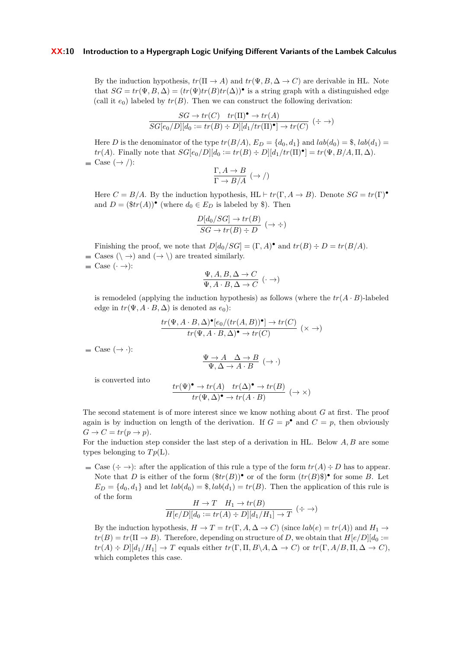#### **XX:10 Introduction to a Hypergraph Logic Unifying Different Variants of the Lambek Calculus**

By the induction hypothesis,  $tr(\Pi \rightarrow A)$  and  $tr(\Psi, B, \Delta \rightarrow C)$  are derivable in HL. Note that  $SG = tr(\Psi, B, \Delta) = (tr(\Psi) tr(B) tr(\Delta))$  is a string graph with a distinguished edge (call it  $e_0$ ) labeled by  $tr(B)$ . Then we can construct the following derivation:

$$
\frac{SG \to tr(C) \quad tr(\Pi)^{\bullet} \to tr(A)}{SG[e_0/D][d_0 := tr(B) \div D][d_1/tr(\Pi)^{\bullet}] \to tr(C)} \; (\div \to)
$$

Here *D* is the denominator of the type  $tr(B/A)$ ,  $E_D = \{d_0, d_1\}$  and  $lab(d_0) = \$ ,  $lab(d_1) =$ *tr*(*A*). Finally note that  $SG[e_0/D][d_0 := tr(B) \div D][d_1/tr(\Pi)^{\bullet}] = tr(\Psi, B/A, \Pi, \Delta)$ .  $\blacksquare$  Case  $(\rightarrow$  /):

$$
\frac{\Gamma, A \to B}{\Gamma \to B/A} \; (\to /)
$$

Here  $C = B/A$ . By the induction hypothesis, HL  $\vdash tr(\Gamma, A \rightarrow B)$ . Denote  $SG = tr(\Gamma)^{\bullet}$ and  $D = (\$tr(A))$ <sup>•</sup> (where  $d_0 \in E_D$  is labeled by \$). Then

$$
\frac{D[d_0/SG] \to tr(B)}{SG \to tr(B) \div D} (\to \div)
$$

Finishing the proof, we note that  $D[d_0/SG] = (\Gamma, A)^{\bullet}$  and  $tr(B) \div D = tr(B/A)$ . **■** Cases  $(\neg \neg)$  and  $(\rightarrow \neg)$  are treated similarly.  $\blacksquare$  Case  $(\cdot \rightarrow)$ :

$$
\frac{\Psi, A, B, \Delta \to C}{\Psi, A \cdot B, \Delta \to C} (\cdot \to)
$$

is remodeled (applying the induction hypothesis) as follows (where the  $tr(A \cdot B)$ -labeled edge in  $tr(\Psi, A \cdot B, \Delta)$  is denoted as  $e_0$ ):

$$
\frac{tr(\Psi, A \cdot B, \Delta)^{\bullet}[e_0/(tr(A, B))^{\bullet}] \to tr(C)}{tr(\Psi, A \cdot B, \Delta)^{\bullet} \to tr(C)} \quad (\times \to)
$$

 $\Box$  Case  $(\rightarrow \cdot)$ :

$$
\frac{\Psi \to A \quad \Delta \to B}{\Psi, \Delta \to A \cdot B} (\to \cdot)
$$

is converted into

$$
\frac{tr(\Psi)^{\bullet} \to tr(A) \quad tr(\Delta)^{\bullet} \to tr(B)}{tr(\Psi, \Delta)^{\bullet} \to tr(A \cdot B)} \; (\to \times)
$$

The second statement is of more interest since we know nothing about *G* at first. The proof again is by induction on length of the derivation. If  $G = p^{\bullet}$  and  $C = p$ , then obviously  $G \rightarrow C = tr(p \rightarrow p).$ 

For the induction step consider the last step of a derivation in HL. Below *A, B* are some types belonging to  $Tp(L)$ .

 $\cong$  Case  $(\div \to)$ : after the application of this rule a type of the form  $tr(A) \div D$  has to appear. Note that *D* is either of the form  $(\text{ftr}(B))^{\bullet}$  or of the form  $(tr(B) \text{F})^{\bullet}$  for some *B*. Let  $E_D = \{d_0, d_1\}$  and let  $lab(d_0) = \$$ ,  $lab(d_1) = tr(B)$ . Then the application of this rule is of the form

$$
\frac{H \to T \quad H_1 \to tr(B)}{H[e/D][d_0 := tr(A) \div D][d_1/H_1] \to T} \; (\div \to)
$$

By the induction hypothesis,  $H \to T = tr(\Gamma, A, \Delta \to C)$  (since  $lab(e) = tr(A)$ ) and  $H_1 \to$  $tr(B) = tr(\Pi \rightarrow B)$ . Therefore, depending on structure of *D*, we obtain that  $H[e/D][d_0 :=$  $tr(A) \div D[|d_1/H_1| \to T$  equals either  $tr(\Gamma, \Pi, B \setminus A, \Delta \to C)$  or  $tr(\Gamma, A/B, \Pi, \Delta \to C)$ , which completes this case.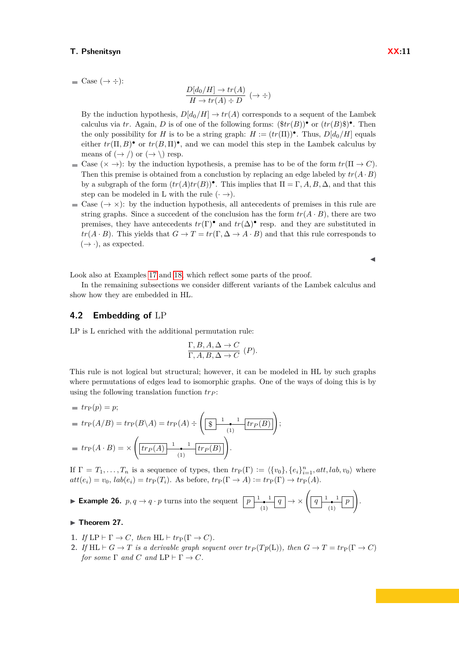$\blacksquare$  Case  $(\rightarrow \div)$ :

$$
\frac{D[d_0/H] \to tr(A)}{H \to tr(A) \div D} (\to \div)
$$

By the induction hypothesis,  $D[d_0/H] \to tr(A)$  corresponds to a sequent of the Lambek calculus via *tr*. Again, *D* is of one of the following forms:  $(\text{ftr}(B))^{\bullet}$  or  $(tr(B)\$)^{\bullet}$ . Then the only possibility for *H* is to be a string graph:  $H := (tr(\Pi))^{\bullet}$ . Thus,  $D[d_0/H]$  equals either  $tr(\Pi, B)$ <sup>•</sup> or  $tr(B, \Pi)$ <sup>•</sup>, and we can model this step in the Lambek calculus by means of  $(\rightarrow)$  or  $(\rightarrow)$  resp.

- $\blacksquare$  Case  $(\times \rightarrow)$ : by the induction hypothesis, a premise has to be of the form  $tr(\Pi \rightarrow C)$ . Then this premise is obtained from a conclustion by replacing an edge labeled by  $tr(A \cdot B)$ by a subgraph of the form  $(tr(A)tr(B))$ <sup> $\bullet$ </sup>. This implies that  $\Pi = \Gamma, A, B, \Delta$ , and that this step can be modeled in L with the rule  $(\cdot \rightarrow)$ .
- Case  $(\rightarrow \times)$ : by the induction hypothesis, all antecedents of premises in this rule are string graphs. Since a succedent of the conclusion has the form  $tr(A \cdot B)$ , there are two premises, they have antecedents  $tr(\Gamma)$ <sup>•</sup> and  $tr(\Delta)$ <sup>•</sup> resp. and they are substituted in  $tr(A \cdot B)$ . This yields that  $G \to T = tr(\Gamma, \Delta \to A \cdot B)$  and that this rule corresponds to  $(\rightarrow \cdot)$ , as expected.

 $\blacktriangleleft$ 

Look also at Examples [17](#page-6-0) and [18,](#page-6-1) which reflect some parts of the proof.

In the remaining subsections we consider different variants of the Lambek calculus and show how they are embedded in HL.

### **4.2 Embedding of** LP

LP is L enriched with the additional permutation rule:

$$
\frac{\Gamma, B, A, \Delta \to C}{\Gamma, A, B, \Delta \to C} (P).
$$

This rule is not logical but structural; however, it can be modeled in HL by such graphs where permutations of edges lead to isomorphic graphs. One of the ways of doing this is by using the following translation function *tr<sup>P</sup>* :

$$
tr_P(p) = p;
$$
  
=  $tr_P(A/B) = tr_P(B \setminus A) = tr_P(A) \div \left( \underbrace{\left[ \underbrace{\$}^{-1} \underbrace{\bullet^{-1} \left[ tr_P(B) \right]}_{(1)} \right]} \right);$   
=  $tr_P(A \cdot B) = \times \left( \underbrace{\left[ tr_P(A) \right]^{-1} \underbrace{\bullet^{-1} \left[ tr_P(B) \right]}_{(1)} \right)}.$ 

If  $\Gamma = T_1, \ldots, T_n$  is a sequence of types, then  $tr_{\mathcal{P}}(\Gamma) := \langle \{v_0\}, \{e_i\}_{i=1}^n, att, lab, v_0 \rangle$  where  $\hat{a}$ *tt*( $e_i$ ) = *v*<sub>0</sub>, *lab*( $e_i$ ) = *tr*<sub>P</sub>( $T_i$ ). As before, *tr*<sub>P</sub>( $\Gamma \rightarrow A$ ) := *tr*<sub>P</sub>( $\Gamma$ )  $\rightarrow$  *tr*<sub>P</sub>(*A*).

$$
\blacktriangleright \textbf{Example 26. } p, q \to q \cdot p \text{ turns into the sequent } \boxed{p \xrightarrow{\text{1}} q} \rightarrow \times \left( \boxed{q \xrightarrow{\text{1}} p} \right).
$$

#### <span id="page-10-0"></span>► Theorem 27.

- **1.** *If* LP  $\vdash \Gamma \to C$ *, then* HL  $\vdash tr_{\mathcal{P}}(\Gamma \to C)$ *.*
- **2.** *If*  $HL \vdash G \to T$  *is a derivable graph sequent over*  $tr_P(Tp(L))$ *, then*  $G \to T = tr_P(\Gamma \to C)$ *for some*  $\Gamma$  *and*  $C$  *and*  $\text{LP} \vdash \Gamma \rightarrow C$ *.*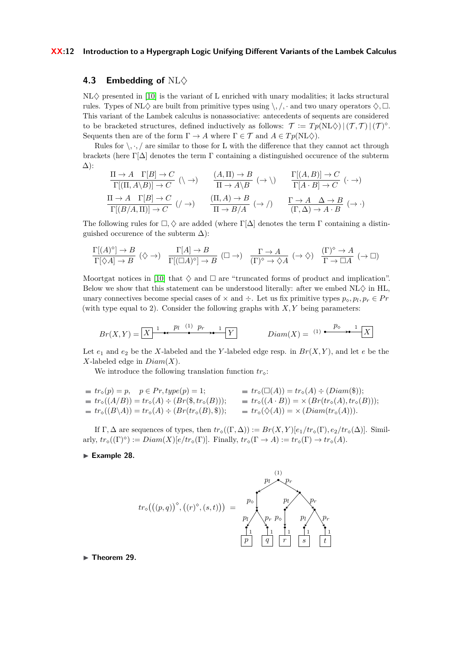#### **XX:12 Introduction to a Hypergraph Logic Unifying Different Variants of the Lambek Calculus**

#### **4.3** Embedding of NL $\diamond$

 $NL\diamondsuit$  presented in [\[10\]](#page-17-0) is the variant of L enriched with unary modalities; it lacks structural rules. Types of NL $\Diamond$  are built from primitive types using  $\setminus$ ,  $\cdot$  and two unary operators  $\Diamond$ ,  $\Box$ . This variant of the Lambek calculus is nonassociative: antecedents of sequents are considered to be bracketed structures, defined inductively as follows:  $\mathcal{T} := Tp(NL\Diamond) |(\mathcal{T},\mathcal{T})|(\mathcal{T})^{\Diamond}$ . Sequents then are of the form  $\Gamma \to A$  where  $\Gamma \in \mathcal{T}$  and  $A \in Tp(NL\diamondsuit)$ .

Rules for  $\langle \cdot, \cdot \rangle$  are similar to those for L with the difference that they cannot act through brackets (here  $\Gamma[\Delta]$  denotes the term  $\Gamma$  containing a distinguished occurence of the subterm ∆):

$$
\frac{\Pi \to A \quad \Gamma[B] \to C}{\Gamma[(\Pi, A \setminus B)] \to C} \quad (\land \to) \qquad \frac{(A, \Pi) \to B}{\Pi \to A \setminus B} \quad (\to \land) \qquad \frac{\Gamma[(A, B)] \to C}{\Gamma[A \cdot B] \to C} \quad (\cdot \to)
$$

$$
\frac{\Pi \to A \quad \Gamma[B] \to C}{\Gamma[(B/A, \Pi)] \to C} \quad (\land \to) \qquad \frac{(\Pi, A) \to B}{\Pi \to B/A} \quad (\to \land) \qquad \frac{\Gamma \to A \quad \Delta \to B}{(\Gamma, \Delta) \to A \cdot B} \quad (\to \cdot)
$$

The following rules for  $\Box, \Diamond$  are added (where  $\Gamma[\Delta]$  denotes the term  $\Gamma$  containing a distinguished occurence of the subterm  $\Delta$ ):

$$
\frac{\Gamma[(A)^\circ] \to B}{\Gamma[\Diamond A] \to B} \ (\Diamond \to) \quad \frac{\Gamma[A] \to B}{\Gamma[(\Box A)^\circ] \to B} \ (\Box \to) \quad \frac{\Gamma \to A}{(\Gamma)^\circ \to \Diamond A} \ (\to \Diamond) \quad \frac{(\Gamma)^\circ \to A}{\Gamma \to \Box A} \ (\to \Box)
$$

Moortgat notices in [\[10\]](#page-17-0) that  $\diamond$  and  $\square$  are "truncated forms of product and implication". Below we show that this statement can be understood literally: after we embed  $NL\Diamond$  in HL, unary connectives become special cases of  $\times$  and  $\div$ . Let us fix primitive types  $p_{\diamond}, p_l, p_r \in Pr$ (with type equal to 2). Consider the following graphs with *X, Y* being parameters:

$$
Br(X,Y) = \boxed{X} \xrightarrow{1} \begin{matrix} P_l & (1) & p_r \\ \hline & \bullet & \bullet \end{matrix} \xrightarrow{1} \boxed{Y} \qquad \qquad \text{Diam}(X) = (1) \xrightarrow{p_\diamond} \begin{matrix} P_\diamond & 1 \\ \hline & \bullet & \bullet \end{matrix} \boxed{X}
$$

Let  $e_1$  and  $e_2$  be the *X*-labeled and the *Y*-labeled edge resp. in  $Br(X, Y)$ , and let  $e$  be the *X*-labeled edge in *Diam*(*X*).

We introduce the following translation function  $tr_{\mathcal{S}}$ :

$$
tr_{\diamond}(p) = p, \quad p \in Pr, type(p) = 1; \qquad tr_{\diamond}(\Box(A)) = tr_{\diamond}(A) \div (Diam(\$));
$$
  
\n
$$
tr_{\diamond}((A/B)) = tr_{\diamond}(A) \div (Br(\$, tr_{\diamond}(B))); \qquad tr_{\diamond}((A \cdot B)) = \times (Br(tr_{\diamond}(A), tr_{\diamond}(B)));
$$
  
\n
$$
tr_{\diamond}((B \setminus A)) = tr_{\diamond}(A) \div (Br(tr_{\diamond}(B), \$)); \qquad tr_{\diamond}(\diamondsuit(A)) = \times (Diam(tr_{\diamond}(A))).
$$

If  $\Gamma, \Delta$  are sequences of types, then  $tr_{\circ}((\Gamma, \Delta)) := Br(X, Y)[e_1/tr_{\circ}(\Gamma), e_2/tr_{\circ}(\Delta)]$ . Similarly,  $tr_{\diamond}((\Gamma)^{\diamond}) := Diam(X)[e/tr_{\diamond}(\Gamma)].$  Finally,  $tr_{\diamond}(\Gamma \to A) := tr_{\diamond}(\Gamma) \to tr_{\diamond}(A).$ 

#### Example 28.

$$
tr_{\diamond}((p,q))^{\diamond},((r)^{\diamond},(s,t))) = p_{\diamond} \downarrow p_r \downarrow p_r \downarrow p_r
$$
\n
$$
p_{l} \downarrow p_r \downarrow p_r
$$
\n
$$
p_{l} \downarrow p_r
$$
\n
$$
p_{l} \downarrow p_r
$$
\n
$$
p_{l} \downarrow p_r
$$
\n
$$
p_{l} \downarrow p_r
$$
\n
$$
p_{l} \downarrow p_r
$$
\n
$$
p_{l} \downarrow p_r
$$
\n
$$
p_{l} \downarrow p_r
$$
\n
$$
p_{l} \downarrow p_r
$$
\n
$$
p_{l} \downarrow p_r
$$
\n
$$
p_{l} \downarrow p_r
$$
\n
$$
p_{l} \downarrow p_r
$$
\n
$$
p_{l} \downarrow p_r
$$
\n
$$
p_{l} \downarrow p_r
$$

<span id="page-11-0"></span> $\blacktriangleright$  Theorem 29.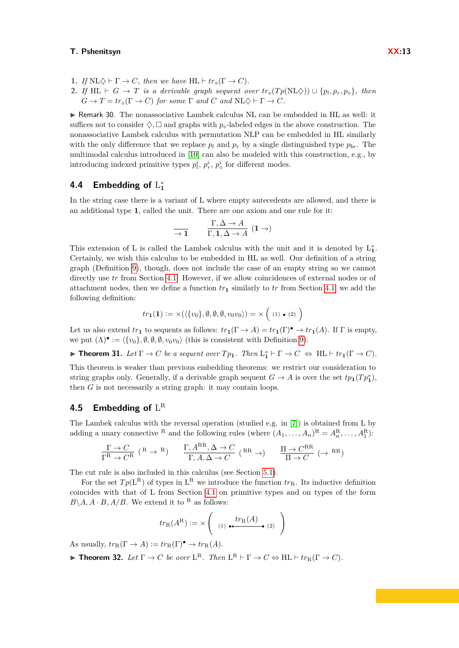- **1.** *If*  $N L \diamondsuit \vdash \Gamma \to C$ *, then we have*  $H L \vdash tr_{\circ}(\Gamma \to C)$ *.*
- **2.** *If* HL  $\vdash$  *G*  $\rightarrow$  *T is a derivable graph sequent over*  $tr_{\diamond}(Tp(NL\diamondsuit)) \cup \{p_l, p_r, p_{\diamond}\},\$  *then*  $G \to T = tr_{\alpha}(\Gamma \to C)$  *for some*  $\Gamma$  *and*  $C$  *and*  $NL\Diamond \vdash \Gamma \to C$ *.*

 $\triangleright$  Remark 30. The nonassociative Lambek calculus NL can be embedded in HL as well: it suffices not to consider  $\Diamond$ ,  $\Box$  and graphs with  $p_{\circ}$ -labeled edges in the above construction. The nonassociative Lambek calculus with permutation NLP can be embedded in HL similarly with the only difference that we replace  $p_l$  and  $p_r$  by a single distinguished type  $p_{br}$ . The multimodal calculus introduced in [\[10\]](#page-17-0) can also be modeled with this construction, e.g., by introducing indexed primitive types  $p_l^i$ ,  $p_r^i$ ,  $p_\diamond^i$  for different modes.

# <span id="page-12-0"></span>**4.4** Embedding of  $L_1^*$

In the string case there is a variant of L where empty antecedents are allowed, and there is an additional type **1**, called the unit. There are one axiom and one rule for it:

$$
\frac{\Gamma, \Delta \to A}{\Gamma, 1, \Delta \to A} (1 \to)
$$

This extension of L is called the Lambek calculus with the unit and it is denoted by  $L_1^*$ . Certainly, we wish this calculus to be embedded in HL as well. Our definition of a string graph (Definition [9\)](#page-3-0), though, does not include the case of an empty string so we cannot directly use *tr* from Section [4.1.](#page-8-1) However, if we allow coincidences of external nodes or of attachment nodes, then we define a function  $tr_1$  similarly to  $tr$  from Section [4.1;](#page-8-1) we add the following definition:

$$
tr_{1}(\mathbf{1}) := \times (\langle \{v_{0}\}, \emptyset, \emptyset, \emptyset, v_{0}v_{0} \rangle) = \times (1) \cdot (2)
$$

Let us also extend  $tr_1$  to sequents as follows:  $tr_1(\Gamma \to A) = tr_1(\Gamma)^{\bullet} \to tr_1(A)$ . If  $\Gamma$  is empty, we put  $(\Lambda)$   $\bullet$  :=  $\langle \{v_0\}, \emptyset, \emptyset, \emptyset, v_0v_0 \rangle$  (this is consistent with Definition [9\)](#page-3-0).

<span id="page-12-1"></span>► **Theorem 31.** *Let*  $\Gamma \to C$  *be a sequent over*  $Tp_1$ *. Then*  $L_1^* \vdash \Gamma \to C \Leftrightarrow \text{HL} \vdash tr_1(\Gamma \to C)$ *.* 

This theorem is weaker than previous embedding theorems: we restrict our consideration to string graphs only. Generally, if a derivable graph sequent  $G \to A$  is over the set  $tp_1(Tp_1^*)$ , then *G* is not necessarily a string graph: it may contain loops.

# **4.5 Embedding of** L R

The Lambek calculus with the reversal operation (studied e.g. in [\[7\]](#page-16-6)) is obtained from L by adding a unary connective <sup>R</sup> and the following rules (where  $(A_1, \ldots, A_n)^R = A_n^R, \ldots, A_1^R$ ):

$$
\frac{\Gamma \to C}{\Gamma^{\text{R}} \to C^{\text{R}}} \; (\text{R} \to \text{R}) \qquad \frac{\Gamma, A^{\text{RR}}, \Delta \to C}{\Gamma, A, \Delta \to C} \; (\text{R} \text{R} \to) \qquad \frac{\Pi \to C^{\text{RR}}}{\Pi \to C} \; (\to \text{R} \text{R})
$$

The cut rule is also included in this calculus (see Section [5.1\)](#page-13-1).

For the set  $Tp(L^R)$  of types in  $L^R$  we introduce the function  $tr_R$ . Its inductive definition coincides with that of L from Section [4.1](#page-8-1) on primitive types and on types of the form  $B \setminus A$ ,  $A \cdot B$ ,  $A/B$ . We extend it to <sup>R</sup> as follows:

$$
tr_{R}(A^{R}) := \times \left( \begin{array}{c} tr_{R}(A) \\ \cdots \end{array} \right)
$$

As usually,  $tr_{\mathcal{R}}(\Gamma \to A) := tr_{\mathcal{R}}(\Gamma)^{\bullet} \to tr_{\mathcal{R}}(A)$ .

<span id="page-12-2"></span>**Fineorem 32.** Let  $\Gamma \to C$  be over  $L^R$ . Then  $L^R \vdash \Gamma \to C \Leftrightarrow \text{HL} \vdash tr_R(\Gamma \to C)$ .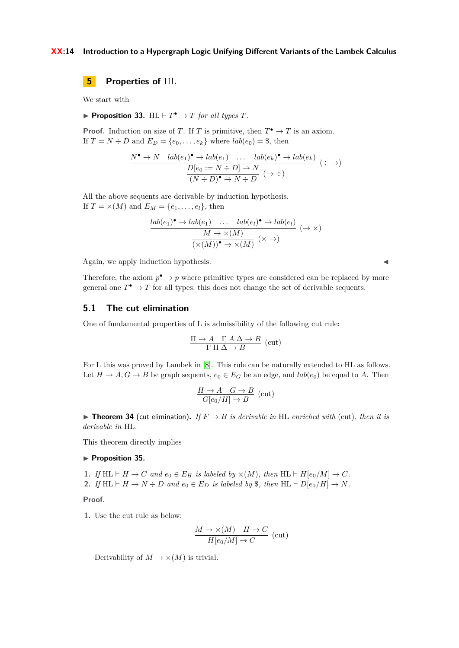#### **XX:14 Introduction to a Hypergraph Logic Unifying Different Variants of the Lambek Calculus**

<span id="page-13-0"></span>**5 Properties of** HL

We start with

**Proposition 33.**  $HL \vdash T^{\bullet} \rightarrow T$  *for all types*  $T$ *.* 

**Proof.** Induction on size of *T*. If *T* is primitive, then  $T^{\bullet} \to T$  is an axiom. If  $T = N \div D$  and  $E_D = \{e_0, \ldots, e_k\}$  where  $lab(e_0) = $$ , then

$$
\frac{N^{\bullet} \to N \quad lab(e_1)^{\bullet} \to lab(e_1) \quad \dots \quad lab(e_k)^{\bullet} \to lab(e_k)}{D[e_0 := N \div D] \to N \atop (N \div D)^{\bullet} \to N \div D} (\div \div)
$$

All the above sequents are derivable by induction hypothesis. If  $T = \times (M)$  and  $E_M = \{e_1, \ldots, e_l\}$ , then

$$
\frac{lab(e_1)^{\bullet} \to lab(e_1) \quad \dots \quad lab(e_l)^{\bullet} \to lab(e_l)}{\overbrace{(X(M))^{\bullet} \to X(M)}^{M \to X(M)} (\times \to)} \; (\to \times)
$$

Again, we apply induction hypothesis.

Therefore, the axiom  $p^{\bullet} \to p$  where primitive types are considered can be replaced by more general one  $T^{\bullet} \to T$  for all types; this does not change the set of derivable sequents.

#### <span id="page-13-1"></span>**5.1 The cut elimination**

One of fundamental properties of L is admissibility of the following cut rule:

$$
\frac{\Pi \to A \quad \Gamma \land \Delta \to B}{\Gamma \Pi \land \to B} \text{ (cut)}
$$

For L this was proved by Lambek in [\[8\]](#page-16-0). This rule can be naturally extended to HL as follows. Let  $H \to A, G \to B$  be graph sequents,  $e_0 \in E_G$  be an edge, and  $lab(e_0)$  be equal to *A*. Then

$$
\frac{H \to A \quad G \to B}{G[e_0/H] \to B} \text{ (cut)}
$$

<span id="page-13-3"></span> $\blacktriangleright$  **Theorem 34** (cut elimination). If  $F \to B$  is derivable in HL enriched with (cut), then it is *derivable in* HL*.*

<span id="page-13-2"></span>This theorem directly implies

#### **Proposition 35.**

**1.** *If*  $H L \vdash H \to C$  *and*  $e_0 \in E_H$  *is labeled by*  $\times (M)$ *, then*  $H L \vdash H[e_0/M] \to C$ *.* **2.** *If*  $H L \vdash H \to N \div D$  *and*  $e_0 \in E_D$  *is labeled by*  $\$, then  $H L \vdash D[e_0/H] \to N$ .$ 

**Proof.**

**1.** Use the cut rule as below:

$$
\frac{M \to \times (M) \quad H \to C}{H[e_0/M] \to C} \text{ (cut)}
$$

Derivability of  $M \to \times (M)$  is trivial.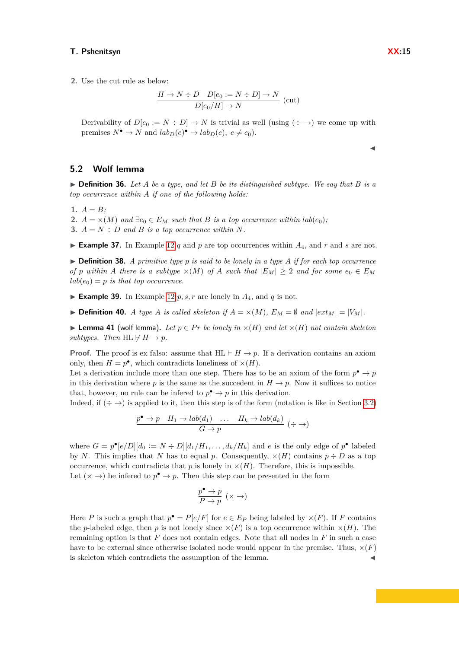**2.** Use the cut rule as below:

$$
\frac{H \to N \div D \quad D[e_0 := N \div D] \to N}{D[e_0/H] \to N} \text{ (cut)}
$$

Derivability of  $D[e_0 := N \div D] \rightarrow N$  is trivial as well (using  $(\div \rightarrow)$  we come up with premises  $N^{\bullet} \to N$  and  $lab_D(e)^{\bullet} \to lab_D(e), e \neq e_0$ .

#### **5.2 Wolf lemma**

 $\triangleright$  **Definition 36.** Let A be a type, and let B be its distinguished subtype. We say that B is a *top occurrence within A if one of the following holds:*

1.  $A = B$ ;

2.  $A = \times (M)$  and  $\exists e_0 \in E_M$  such that B is a top occurrence within  $lab(e_0)$ ;

**3.**  $A = N \div D$  and  $B$  *is a top occurrence within*  $N$ *.* 

**Example 37.** In Example [12](#page-4-1) *q* and *p* are top occurrences within  $A_4$ , and *r* and *s* are not.

<span id="page-14-1"></span> $\triangleright$  **Definition 38.** *A primitive type p is said to be lonely in a type A if for each top occurrence of p within A there is a subtype*  $\times$ (*M*) *of A such that*  $|E_M| \geq 2$  *and for some*  $e_0 \in E_M$  $lab(e_0) = p$  *is that top occurrence.* 

**Example 39.** In Example [12](#page-4-1)  $p, s, r$  are lonely in  $A_4$ , and  $q$  is not.

 $\triangleright$  **Definition 40.** *A type A is called skeleton if*  $A = \times (M)$ *,*  $E_M = \emptyset$  *and*  $|ext_M| = |V_M|$ *.* 

<span id="page-14-0"></span>▶ **Lemma 41** (wolf lemma). Let  $p \in Pr$  be lonely in  $\times(H)$  and let  $\times(H)$  not contain skeleton *subtypes.* Then  $HL \nvdash H \rightarrow p$ .

**Proof.** The proof is ex falso: assume that  $HL \vdash H \rightarrow p$ . If a derivation contains an axiom only, then  $H = p^{\bullet}$ , which contradicts loneliness of  $\times(H)$ .

Let a derivation include more than one step. There has to be an axiom of the form  $p^{\bullet} \to p$ in this derivation where *p* is the same as the succedent in  $H \to p$ . Now it suffices to notice that, however, no rule can be inferred to  $p^{\bullet} \to p$  in this derivation.

Indeed, if  $(\div \to)$  is applied to it, then this step is of the form (notation is like in Section [3.2\)](#page-5-1)

$$
\frac{p^{\bullet} \to p \quad H_1 \to lab(d_1) \quad \dots \quad H_k \to lab(d_k)}{G \to p} \; (\div \to)
$$

where  $G = p^{\bullet}[e/D][d_0 := N \div D][d_1/H_1, \ldots, d_k/H_k]$  and *e* is the only edge of  $p^{\bullet}$  labeled by *N*. This implies that *N* has to equal *p*. Consequently,  $\times(H)$  contains  $p \div D$  as a top occurrence, which contradicts that  $p$  is lonely in  $\times(H)$ . Therefore, this is impossible. Let  $(\times \rightarrow)$  be inferred to  $p^{\bullet} \rightarrow p$ . Then this step can be presented in the form

$$
\frac{p^\bullet \to p}{P \to p}~(\times \to)
$$

Here *P* is such a graph that  $p^{\bullet} = P[e/F]$  for  $e \in E_P$  being labeled by  $\times(F)$ . If *F* contains the *p*-labeled edge, then *p* is not lonely since  $\times(F)$  is a top occurrence within  $\times(H)$ . The remaining option is that *F* does not contain edges. Note that all nodes in *F* in such a case have to be external since otherwise isolated node would appear in the premise. Thus,  $\times(F)$ is skeleton which contradicts the assumption of the lemma.

J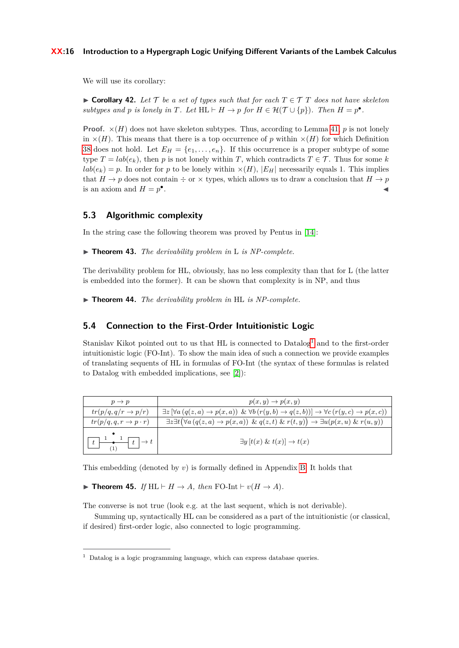#### **XX:16 Introduction to a Hypergraph Logic Unifying Different Variants of the Lambek Calculus**

<span id="page-15-1"></span>We will use its corollary:

► Corollary 42. Let  $\mathcal{T}$  be a set of types such that for each  $T \in \mathcal{T}$  T does not have skeleton *subtypes and p is lonely in T. Let*  $HL \vdash H \rightarrow p$  *for*  $H \in \mathcal{H}(\mathcal{T} \cup \{p\})$ *. Then*  $H = p^{\bullet}$ *.* 

**Proof.**  $\times$ (*H*) does not have skeleton subtypes. Thus, according to Lemma [41,](#page-14-0) *p* is not lonely in  $\times(H)$ . This means that there is a top occurrence of *p* within  $\times(H)$  for which Definition [38](#page-14-1) does not hold. Let  $E_H = \{e_1, \ldots, e_n\}$ . If this occurrence is a proper subtype of some type  $T = lab(e_k)$ , then *p* is not lonely within *T*, which contradicts  $T \in \mathcal{T}$ . Thus for some *k*  $lab(e_k) = p$ . In order for *p* to be lonely within  $\times(H)$ ,  $|E_H|$  necessarily equals 1. This implies that  $H \to p$  does not contain  $\div$  or  $\times$  types, which allows us to draw a conclusion that  $H \to p$ is an axiom and  $H = p^{\bullet}$ . January 1980, and the contract of the contract of the contract of

## **5.3 Algorithmic complexity**

In the string case the following theorem was proved by Pentus in [\[14\]](#page-17-1):

I **Theorem 43.** *The derivability problem in* L *is NP-complete.*

The derivability problem for HL, obviously, has no less complexity than that for L (the latter is embedded into the former). It can be shown that complexity is in NP, and thus

<span id="page-15-2"></span>I **Theorem 44.** *The derivability problem in* HL *is NP-complete.*

#### <span id="page-15-3"></span>**5.4 Connection to the First-Order Intuitionistic Logic**

Stanislav Kikot pointed out to us that HL is connected to  $\text{Database}^1$  $\text{Database}^1$  and to the first-order intuitionistic logic (FO-Int). To show the main idea of such a connection we provide examples of translating sequents of HL in formulas of FO-Int (the syntax of these formulas is related to Datalog with embedded implications, see [\[2\]](#page-16-7)):

| $p \rightarrow p$                                                                                                                                                       | $p(x, y) \rightarrow p(x, y)$                                                                                                                                      |
|-------------------------------------------------------------------------------------------------------------------------------------------------------------------------|--------------------------------------------------------------------------------------------------------------------------------------------------------------------|
| $tr(p/q, q/r \rightarrow p/r)$                                                                                                                                          | $\exists z \left[ \forall a \left( q(z,a) \to p(x,a) \right) \& \forall b \left( r(y,b) \to q(z,b) \right) \right] \to \forall c \left( r(y,c) \to p(x,c) \right)$ |
| $tr(p/q, q, r \rightarrow p \cdot r)$                                                                                                                                   | $\exists z \exists t (\forall a (q(z,a) \rightarrow p(x,a)) \& q(z,t) \& r(t,y)) \rightarrow \exists u (p(x,u) \& r(u,y))$                                         |
| $t \begin{array}{c} \hline \begin{array}{c} \hline \end{array} \\ \hline \begin{array}{c} \hline \end{array} \\ \hline \begin{array}{c} \hline \end{array} \end{array}$ | $\exists y$ $[t(x) \& t(x)] \rightarrow t(x)$                                                                                                                      |

<span id="page-15-4"></span>This embedding (denoted by *v*) is formally defined in Appendix [B.](#page-26-0) It holds that

 $\blacktriangleright$  **Theorem 45.** *If* HL  $\vdash$  *H*  $\rightarrow$  *A, then* FO-Int  $\vdash$  *v*(*H*  $\rightarrow$  *A*)*.* 

The converse is not true (look e.g. at the last sequent, which is not derivable).

Summing up, syntactically HL can be considered as a part of the intuitionistic (or classical, if desired) first-order logic, also connected to logic programming.

<span id="page-15-0"></span> $1$  Datalog is a logic programming language, which can express database queries.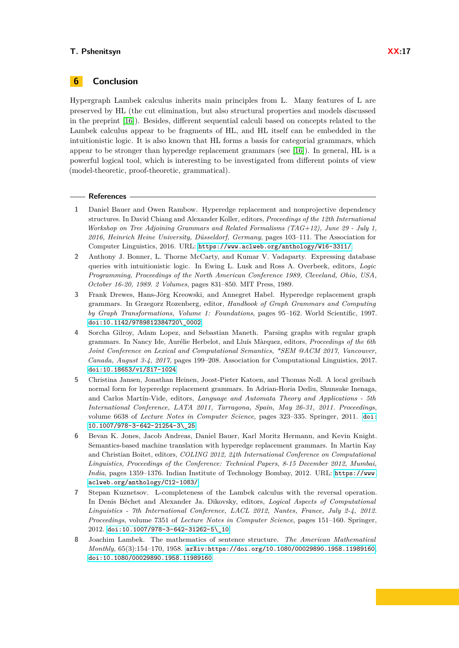# **6 Conclusion**

Hypergraph Lambek calculus inherits main principles from L. Many features of L are preserved by HL (the cut elimination, but also structural properties and models discussed in the preprint [\[16\]](#page-17-8)). Besides, different sequential calculi based on concepts related to the Lambek calculus appear to be fragments of HL, and HL itself can be embedded in the intuitionistic logic. It is also known that HL forms a basis for categorial grammars, which appear to be stronger than hyperedge replacement grammars (see [\[16\]](#page-17-8)). In general, HL is a powerful logical tool, which is interesting to be investigated from different points of view (model-theoretic, proof-theoretic, grammatical).

#### **References**

- <span id="page-16-2"></span>**1** Daniel Bauer and Owen Rambow. Hyperedge replacement and nonprojective dependency structures. In David Chiang and Alexander Koller, editors, *Proceedings of the 12th International Workshop on Tree Adjoining Grammars and Related Formalisms (TAG+12), June 29 - July 1, 2016, Heinrich Heine University, Düsseldorf, Germany*, pages 103–111. The Association for Computer Linguistics, 2016. URL: <https://www.aclweb.org/anthology/W16-3311/>.
- <span id="page-16-7"></span>**2** Anthony J. Bonner, L. Thorne McCarty, and Kumar V. Vadaparty. Expressing database queries with intuitionistic logic. In Ewing L. Lusk and Ross A. Overbeek, editors, *Logic Programming, Proceedings of the North American Conference 1989, Cleveland, Ohio, USA, October 16-20, 1989. 2 Volumes*, pages 831–850. MIT Press, 1989.
- <span id="page-16-1"></span>**3** Frank Drewes, Hans-Jörg Kreowski, and Annegret Habel. Hyperedge replacement graph grammars. In Grzegorz Rozenberg, editor, *Handbook of Graph Grammars and Computing by Graph Transformations, Volume 1: Foundations*, pages 95–162. World Scientific, 1997. [doi:10.1142/9789812384720\\\_0002](https://doi.org/10.1142/9789812384720_0002).
- <span id="page-16-3"></span>**4** Sorcha Gilroy, Adam Lopez, and Sebastian Maneth. Parsing graphs with regular graph grammars. In Nancy Ide, Aurélie Herbelot, and Lluís Màrquez, editors, *Proceedings of the 6th Joint Conference on Lexical and Computational Semantics, \*SEM @ACM 2017, Vancouver, Canada, August 3-4, 2017*, pages 199–208. Association for Computational Linguistics, 2017. [doi:10.18653/v1/S17-1024](https://doi.org/10.18653/v1/S17-1024).
- <span id="page-16-5"></span>**5** Christina Jansen, Jonathan Heinen, Joost-Pieter Katoen, and Thomas Noll. A local greibach normal form for hyperedge replacement grammars. In Adrian-Horia Dediu, Shunsuke Inenaga, and Carlos Martín-Vide, editors, *Language and Automata Theory and Applications - 5th International Conference, LATA 2011, Tarragona, Spain, May 26-31, 2011. Proceedings*, volume 6638 of *Lecture Notes in Computer Science*, pages 323–335. Springer, 2011. [doi:](https://doi.org/10.1007/978-3-642-21254-3_25) [10.1007/978-3-642-21254-3\\\_25](https://doi.org/10.1007/978-3-642-21254-3_25).
- <span id="page-16-4"></span>**6** Bevan K. Jones, Jacob Andreas, Daniel Bauer, Karl Moritz Hermann, and Kevin Knight. Semantics-based machine translation with hyperedge replacement grammars. In Martin Kay and Christian Boitet, editors, *COLING 2012, 24th International Conference on Computational Linguistics, Proceedings of the Conference: Technical Papers, 8-15 December 2012, Mumbai, India*, pages 1359–1376. Indian Institute of Technology Bombay, 2012. URL: [https://www.](https://www.aclweb.org/anthology/C12-1083/) [aclweb.org/anthology/C12-1083/](https://www.aclweb.org/anthology/C12-1083/).
- <span id="page-16-6"></span>**7** Stepan Kuznetsov. L-completeness of the Lambek calculus with the reversal operation. In Denis Béchet and Alexander Ja. Dikovsky, editors, *Logical Aspects of Computational Linguistics - 7th International Conference, LACL 2012, Nantes, France, July 2-4, 2012. Proceedings*, volume 7351 of *Lecture Notes in Computer Science*, pages 151–160. Springer, 2012. [doi:10.1007/978-3-642-31262-5\\\_10](https://doi.org/10.1007/978-3-642-31262-5_10).
- <span id="page-16-0"></span>**8** Joachim Lambek. The mathematics of sentence structure. *The American Mathematical Monthly*, 65(3):154–170, 1958. [arXiv:https://doi.org/10.1080/00029890.1958.11989160](http://arxiv.org/abs/https://doi.org/10.1080/00029890.1958.11989160), [doi:10.1080/00029890.1958.11989160](https://doi.org/10.1080/00029890.1958.11989160).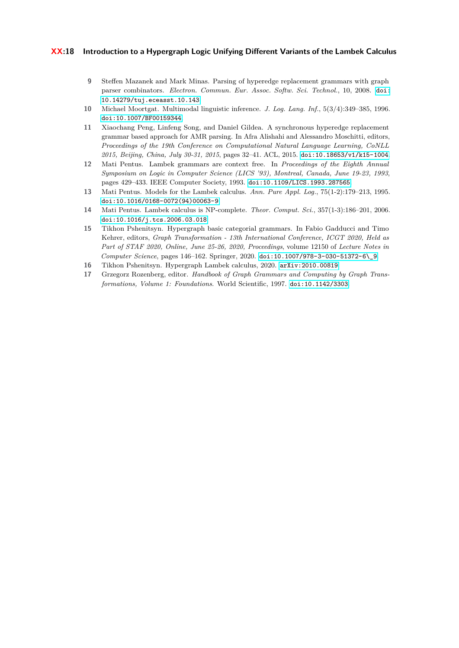#### **XX:18 Introduction to a Hypergraph Logic Unifying Different Variants of the Lambek Calculus**

- <span id="page-17-6"></span>**9** Steffen Mazanek and Mark Minas. Parsing of hyperedge replacement grammars with graph parser combinators. *Electron. Commun. Eur. Assoc. Softw. Sci. Technol.*, 10, 2008. [doi:](https://doi.org/10.14279/tuj.eceasst.10.143) [10.14279/tuj.eceasst.10.143](https://doi.org/10.14279/tuj.eceasst.10.143).
- <span id="page-17-0"></span>**10** Michael Moortgat. Multimodal linguistic inference. *J. Log. Lang. Inf.*, 5(3/4):349–385, 1996. [doi:10.1007/BF00159344](https://doi.org/10.1007/BF00159344).
- <span id="page-17-5"></span>**11** Xiaochang Peng, Linfeng Song, and Daniel Gildea. A synchronous hyperedge replacement grammar based approach for AMR parsing. In Afra Alishahi and Alessandro Moschitti, editors, *Proceedings of the 19th Conference on Computational Natural Language Learning, CoNLL 2015, Beijing, China, July 30-31, 2015*, pages 32–41. ACL, 2015. [doi:10.18653/v1/k15-1004](https://doi.org/10.18653/v1/k15-1004).
- <span id="page-17-3"></span>**12** Mati Pentus. Lambek grammars are context free. In *Proceedings of the Eighth Annual Symposium on Logic in Computer Science (LICS '93), Montreal, Canada, June 19-23, 1993*, pages 429–433. IEEE Computer Society, 1993. [doi:10.1109/LICS.1993.287565](https://doi.org/10.1109/LICS.1993.287565).
- <span id="page-17-2"></span>**13** Mati Pentus. Models for the Lambek calculus. *Ann. Pure Appl. Log.*, 75(1-2):179–213, 1995. [doi:10.1016/0168-0072\(94\)00063-9](https://doi.org/10.1016/0168-0072(94)00063-9).
- <span id="page-17-1"></span>**14** Mati Pentus. Lambek calculus is NP-complete. *Theor. Comput. Sci.*, 357(1-3):186–201, 2006. [doi:10.1016/j.tcs.2006.03.018](https://doi.org/10.1016/j.tcs.2006.03.018).
- <span id="page-17-7"></span>**15** Tikhon Pshenitsyn. Hypergraph basic categorial grammars. In Fabio Gadducci and Timo Kehrer, editors, *Graph Transformation - 13th International Conference, ICGT 2020, Held as Part of STAF 2020, Online, June 25-26, 2020, Proceedings*, volume 12150 of *Lecture Notes in Computer Science*, pages 146–162. Springer, 2020. [doi:10.1007/978-3-030-51372-6\\\_9](https://doi.org/10.1007/978-3-030-51372-6_9).
- <span id="page-17-8"></span>**16** Tikhon Pshenitsyn. Hypergraph Lambek calculus, 2020. [arXiv:2010.00819](http://arxiv.org/abs/2010.00819).
- <span id="page-17-4"></span>**17** Grzegorz Rozenberg, editor. *Handbook of Graph Grammars and Computing by Graph Transformations, Volume 1: Foundations*. World Scientific, 1997. [doi:10.1142/3303](https://doi.org/10.1142/3303).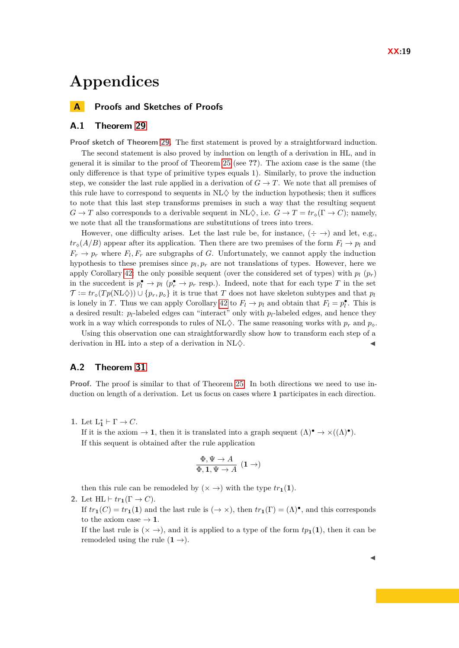# **Appendices**

**A Proofs and Sketches of Proofs**

## **A.1 Theorem [29](#page-11-0)**

**Proof sketch of Theorem [29.](#page-11-0)** The first statement is proved by a straightforward induction.

The second statement is also proved by induction on length of a derivation in HL, and in general it is similar to the proof of Theorem [25](#page-8-2) (see **??**). The axiom case is the same (the only difference is that type of primitive types equals 1). Similarly, to prove the induction step, we consider the last rule applied in a derivation of  $G \to T$ . We note that all premises of this rule have to correspond to sequents in  $NL\diamondsuit$  by the induction hypothesis; then it suffices to note that this last step transforms premises in such a way that the resulting sequent  $G \to T$  also corresponds to a derivable sequent in  $\text{NL}\diamondsuit$ , i.e.  $G \to T = tr_{\diamond}(\Gamma \to C)$ ; namely, we note that all the transformations are substitutions of trees into trees.

However, one difficulty arises. Let the last rule be, for instance,  $(\div \rightarrow)$  and let, e.g.,  $tr_{\delta}(A/B)$  appear after its application. Then there are two premises of the form  $F_l \rightarrow p_l$  and  $F_r \to p_r$  where  $F_l$ ,  $F_r$  are subgraphs of *G*. Unfortunately, we cannot apply the induction hypothesis to these premises since  $p_l, p_r$  are not translations of types. However, here we apply Corollary [42:](#page-15-1) the only possible sequent (over the considered set of types) with  $p_l$  ( $p_r$ ) in the succedent is  $p_l^{\bullet} \to p_l$  ( $p_r^{\bullet} \to p_r$  resp.). Indeed, note that for each type *T* in the set  $\mathcal{T} := tr_o(T_p(N \Delta)) \cup \{p_r, p_o\}$  it is true that *T* does not have skeleton subtypes and that  $p_l$ is lonely in *T*. Thus we can apply Corollary [42](#page-15-1) to  $F_l \to p_l$  and obtain that  $F_l = p_l^{\bullet}$ . This is a desired result:  $p_l$ -labeled edges can "interact" only with  $p_l$ -labeled edges, and hence they work in a way which corresponds to rules of  $NL\Diamond$ . The same reasoning works with  $p_r$  and  $p_\Diamond$ .

Using this observation one can straightforwardly show how to transform each step of a derivation in HL into a step of a derivation in  $\rm NL \diamondsuit$ .

# **A.2 Theorem [31](#page-12-1)**

**Proof.** The proof is similar to that of Theorem [25.](#page-8-2) In both directions we need to use induction on length of a derivation. Let us focus on cases where **1** participates in each direction.

1. Let  $L_1^* \vdash \Gamma \to C$ .

If it is the axiom  $\to \mathbf{1}$ , then it is translated into a graph sequent  $(\Lambda)^\bullet \to \times ((\Lambda)^\bullet)$ . If this sequent is obtained after the rule application

$$
\frac{\Phi, \Psi \to A}{\Phi, 1, \Psi \to A} \ (1 \to)
$$

then this rule can be remodeled by  $(\times \rightarrow)$  with the type  $tr_1(1)$ .

2. Let  $HL \vdash tr_1(\Gamma \to C)$ .

If  $tr_1(C) = tr_1(1)$  and the last rule is  $(\rightarrow \times)$ , then  $tr_1(\Gamma) = (\Lambda)^{\bullet}$ , and this corresponds to the axiom case  $\rightarrow$  **1**.

If the last rule is  $(\times \rightarrow)$ , and it is applied to a type of the form  $tp_1(1)$ , then it can be remodeled using the rule  $(1 \rightarrow)$ .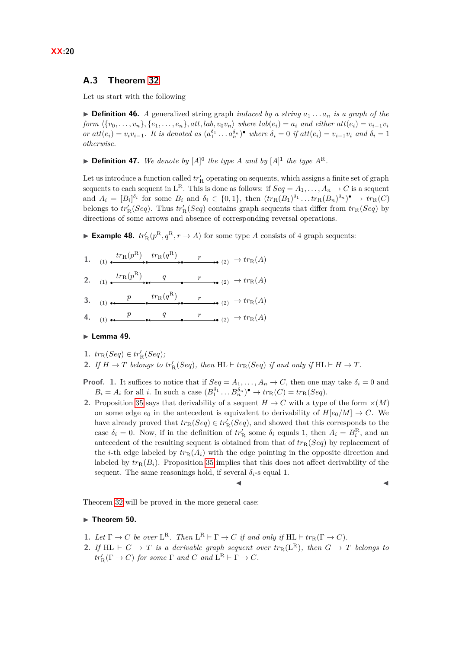# **A.3 Theorem [32](#page-12-2)**

Let us start with the following

 $\triangleright$  **Definition 46.** *A* generalized string graph *induced by a string*  $a_1 \ldots a_n$  *is a graph of the* form  $\{\{v_0, \ldots, v_n\}, \{e_1, \ldots, e_n\}, att, lab, v_0v_n\}$  where  $lab(e_i) = a_i$  and either  $att(e_i) = v_{i-1}v_i$ or  $att(e_i) = v_i v_{i-1}$ . It is denoted as  $(a_1^{\delta_1} \ldots a_n^{\delta_n})^{\bullet}$  where  $\delta_i = 0$  if  $att(e_i) = v_{i-1}v_i$  and  $\delta_i = 1$ *otherwise.*

 $\blacktriangleright$  **Definition 47.** We denote by  $[A]^0$  the type A and by  $[A]^1$  the type  $A^R$ .

Let us introduce a function called  $tr'_{\rm R}$  operating on sequents, which assigns a finite set of graph sequents to each sequent in  $L^R$ . This is done as follows: if  $Seq = A_1, \ldots, A_n \to C$  is a sequent and  $A_i = [B_i]^{\delta_i}$  for some  $B_i$  and  $\delta_i \in \{0,1\}$ , then  $(tr_R(B_1)^{\delta_1} \dots tr_R(B_n)^{\delta_n})^{\bullet} \to tr_R(C)$ belongs to  $tr'_{\rm R}(Seq)$ . Thus  $tr'_{\rm R}(Seq)$  contains graph sequents that differ from  $tr_{\rm R}(Seq)$  by directions of some arrows and absence of corresponding reversal operations.

**Example 48.**  $tr'_{\mathcal{R}}(p^{\mathcal{R}}, q^{\mathcal{R}}, r \to A)$  for some type *A* consists of 4 graph sequents:

1. (1)  $\overset{tr_R(p^R)}{\longrightarrow} \overset{tr_R(q^R)}{\longrightarrow} \overset{r}{\longrightarrow}$  (2)  $\rightarrow tr_R(A)$ 2. (1)  $\overset{tr_R(p^R)}{\longrightarrow}$  *q r*  $\longrightarrow$  (2)  $\rightarrow$   $tr_R(A)$ 3. (1) **c**  $\longrightarrow$   $\downarrow$   $tr_{R}(q^{R})$   $\longrightarrow$   $\downarrow$   $tr_{R}(A)$ **4.** (1) **p g** *q <i>f* **p** *p p p p p p p p p p p p p p p p p p p p p p p p p p p p p p p*

#### <span id="page-19-0"></span>► Lemma 49.

- 1.  $tr_{R}(Seq) \in tr'_{R}(Seq);$
- **2.** If  $H \to T$  belongs to  $tr_R'(Seq)$ , then  $HL \vdash tr_R(Seq)$  if and only if  $HL \vdash H \to T$ .
- **Proof. 1.** It suffices to notice that if  $Seq = A_1, \ldots, A_n \rightarrow C$ , then one may take  $\delta_i = 0$  and  $B_i = A_i$  for all *i*. In such a case  $(B_1^{\delta_1} \dots B_n^{\delta_n})^{\bullet} \to tr_R(C) = tr_R(Seq)$ .
- **2.** Proposition [35](#page-13-2) says that derivability of a sequent  $H \to C$  with a type of the form  $\times(M)$ on some edge  $e_0$  in the antecedent is equivalent to derivability of  $H[e_0/M] \to C$ . We have already proved that  $tr_R(Seq) \in tr'_R(Seq)$ , and showed that this corresponds to the case  $\delta_i = 0$ . Now, if in the definition of  $tr'_{\mathcal{R}}$  some  $\delta_i$  equals 1, then  $A_i = B_i^{\mathcal{R}}$ , and an antecedent of the resulting sequent is obtained from that of  $tr_R(Seq)$  by replacement of the *i*-th edge labeled by  $tr_R(A_i)$  with the edge pointing in the opposite direction and labeled by  $tr_R(B_i)$ . Proposition [35](#page-13-2) implies that this does not affect derivability of the sequent. The same reasonings hold, if several  $\delta_i$ -s equal 1.

$$
\blacksquare
$$

Theorem [32](#page-12-2) will be proved in the more general case:

#### **F** Theorem 50.

- **1.** Let  $\Gamma \to C$  be over  $\mathsf{L}^{\mathsf{R}}$ . Then  $\mathsf{L}^{\mathsf{R}} \vdash \Gamma \to C$  if and only if  $\mathsf{HL} \vdash tr_{\mathsf{R}}(\Gamma \to C)$ .
- **2.** If HL  $\vdash G \rightarrow T$  is a derivable graph sequent over  $tr_R(L^R)$ , then  $G \rightarrow T$  belongs to  $tr_{R}'(\Gamma \to C)$  *for some*  $\Gamma$  *and*  $C$  *and*  $L^{R} \vdash \Gamma \to C$ *.*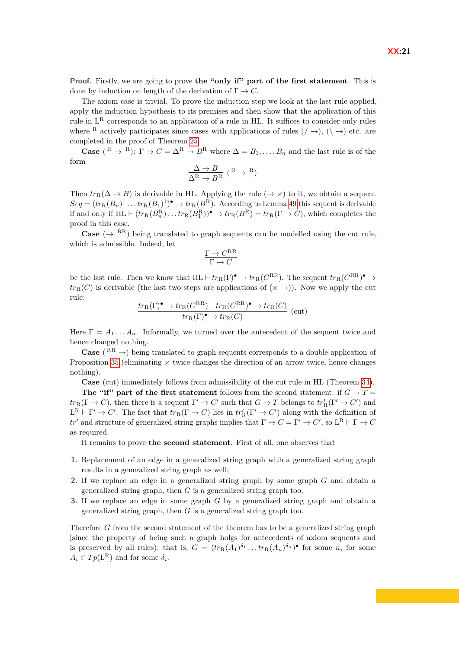**Proof.** Firstly, we are going to prove **the "only if" part of the first statement**. This is done by induction on length of the derivation of  $\Gamma \to C$ .

The axiom case is trivial. To prove the induction step we look at the last rule applied, apply the induction hypothesis to its premises and then show that the application of this rule in  $L^R$  corresponds to an application of a rule in HL. It suffices to consider only rules where <sup>R</sup> actively participates since cases with applications of rules  $( / \rightarrow)$ ,  $( \rangle \rightarrow)$  etc. are completed in the proof of Theorem [25.](#page-8-2)

**Case** (<sup>R</sup> → <sup>R</sup>):  $\Gamma \to C = \Delta^R \to B^R$  where  $\Delta = B_1, \ldots, B_n$  and the last rule is of the form

$$
\frac{\Delta \to B}{\Delta^\mathrm{R} \to B^\mathrm{R}}\,\,(\mathrm{^R} \to \mathrm{^R})
$$

Then  $tr_R(\Delta \to B)$  is derivable in HL. Applying the rule ( $\to \times$ ) to it, we obtain a sequent  $Seq = (tr_R(B_n)^1 \dots tr_R(B_1)^1)^\bullet \to tr_R(B^R)$ . According to Lemma [49](#page-19-0) this sequent is derivable if and only if  $HL \vdash (tr_R(B_n^R) \ldots tr_R(B_1^R))^{\bullet} \to tr_R(B^R) = tr_R(\Gamma \to C)$ , which completes the proof in this case.

**Case** ( $\rightarrow$  RR) being translated to graph sequents can be modelled using the cut rule, which is admissible. Indeed, let

$$
\frac{\Gamma \to C^{\rm RR}}{\Gamma \to C}
$$

be the last rule. Then we know that  $HL \vdash tr_R(\Gamma)^{\bullet} \to tr_R(C^{RR})$ . The sequent  $tr_R(C^{RR})^{\bullet} \to$  $tr_R(C)$  is derivable (the last two steps are applications of  $(\times \rightarrow)$ ). Now we apply the cut rule:

$$
\frac{tr_{R}(\Gamma)^{\bullet} \to tr_{R}(C^{RR}) \quad tr_{R}(C^{RR})^{\bullet} \to tr_{R}(C)}{tr_{R}(\Gamma)^{\bullet} \to tr_{R}(C)} \text{ (cut)}
$$

Here  $\Gamma = A_1 \ldots A_n$ . Informally, we turned over the antecedent of the sequent twice and hence changed nothing.

**Case** ( $\text{RR} \rightarrow$ ) being translated to graph sequents corresponds to a double application of Proposition [35](#page-13-2) (eliminating  $\times$  twice changes the direction of an arrow twice, hence changes nothing).

**Case** (cut) immediately follows from admissibility of the cut rule in HL (Theorem [34\)](#page-13-3).

**The "if" part of the first statement** follows from the second statement: if  $G \rightarrow T =$  $tr_R(\Gamma \to C)$ , then there is a sequent  $\Gamma' \to C'$  such that  $G \to T$  belongs to  $tr'_R(\Gamma' \to C')$  and  $L^R \vdash \Gamma' \to C'$ . The fact that  $tr_R(\Gamma \to C)$  lies in  $tr_R'(\Gamma' \to C')$  along with the definition of *tr'* and structure of generalized string graphs implies that  $\Gamma \to C = \Gamma' \to C'$ , so  $L^R \vdash \Gamma \to C$ as required.

It remains to prove **the second statement**. First of all, one observes that

- **1.** Replacement of an edge in a generalized string graph with a generalized string graph results in a generalized string graph as well;
- **2.** If we replace an edge in a generalized string graph by some graph *G* and obtain a generalized string graph, then *G* is a generalized string graph too.
- **3.** If we replace an edge in some graph *G* by a generalized string graph and obtain a generalized string graph, then *G* is a generalized string graph too.

Therefore *G* from the second statement of the theorem has to be a generalized string graph (since the property of being such a graph holgs for antecedents of axiom sequents and is preserved by all rules); that is,  $G = (tr_R(A_1)^{\delta_1} \dots tr_R(A_n)^{\delta_n})^{\bullet}$  for some *n*, for some  $A_i \in T_p(\mathbf{L}^{\mathbf{R}})$  and for some  $\delta_i$ .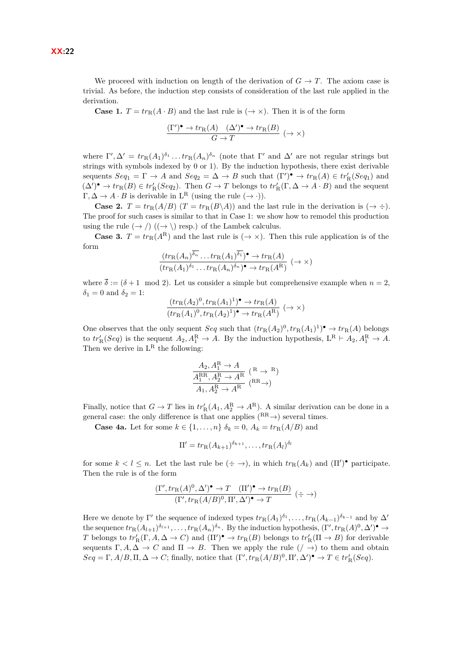We proceed with induction on length of the derivation of  $G \to T$ . The axiom case is trivial. As before, the induction step consists of consideration of the last rule applied in the derivation.

**Case 1.**  $T = tr_R(A \cdot B)$  and the last rule is  $(\rightarrow \times)$ . Then it is of the form

$$
\frac{(\Gamma')^{\bullet} \to tr_{\mathcal{R}}(A) \quad (\Delta')^{\bullet} \to tr_{\mathcal{R}}(B)}{G \to T} \; (\to \times)
$$

where  $\Gamma', \Delta' = tr_R(A_1)^{\delta_1} \dots tr_R(A_n)^{\delta_n}$  (note that  $\Gamma'$  and  $\Delta'$  are not regular strings but strings with symbols indexed by 0 or 1). By the induction hypothesis, there exist derivable sequents  $Seq_1 = \Gamma \to A$  and  $Seq_2 = \Delta \to B$  such that  $(\Gamma')^{\bullet} \to tr_R(A) \in tr'_R(Seq_1)$  and  $(\Delta')^{\bullet} \to tr_{R}(B) \in tr'_{R}(Seq_{2})$ . Then  $G \to T$  belongs to  $tr'_{R}(\Gamma, \Delta \to A \cdot B)$  and the sequent  $\Gamma, \Delta \to A \cdot B$  is derivable in  $L^R$  (using the rule  $(\to \cdot)$ ).

**Case 2.**  $T = tr_R(A/B)$   $(T = tr_R(B\setminus A))$  and the last rule in the derivation is  $(\rightarrow \div)$ . The proof for such cases is similar to that in Case 1: we show how to remodel this production using the rule  $(\rightarrow)$   $((\rightarrow)$  resp.) of the Lambek calculus.

**Case 3.**  $T = tr_R(A^R)$  and the last rule is  $(\rightarrow \times)$ . Then this rule application is of the form

$$
\frac{(tr_{R}(A_{n})^{\delta_{n}}\dots tr_{R}(A_{1})^{\delta_{1}})^{\bullet}\to tr_{R}(A)}{(tr_{R}(A_{1})^{\delta_{1}}\dots tr_{R}(A_{n})^{\delta_{n}})^{\bullet}\to tr_{R}(A^{R})} (\to \times)
$$

where  $\overline{\delta} := (\delta + 1 \mod 2)$ . Let us consider a simple but comprehensive example when  $n = 2$ ,  $\delta_1 = 0$  and  $\delta_2 = 1$ :

$$
\frac{(tr_{\mathcal{R}}(A_2)^0, tr_{\mathcal{R}}(A_1)^1)^\bullet \to tr_{\mathcal{R}}(A)}{(tr_{\mathcal{R}}(A_1)^0, tr_{\mathcal{R}}(A_2)^1)^\bullet \to tr_{\mathcal{R}}(A^{\mathcal{R}})} \; (\to \times)
$$

One observes that the only sequent *Seq* such that  $(tr_R(A_2)^0, tr_R(A_1)^1) \rightarrow tr_R(A)$  belongs to  $tr_R'(Seq)$  is the sequent  $A_2, A_1^R \to A$ . By the induction hypothesis,  $L^R \vdash A_2, A_1^R \to A$ . Then we derive in  $L^R$  the following:

$$
\frac{A_2, A_1^R \to A}{A_1^{RR}, A_2^R \to A^R} \stackrel{R \to R}{\longrightarrow} \begin{array}{c} R \to R \\ (RR \to) \end{array}
$$

Finally, notice that  $G \to T$  lies in  $tr'_{R}(A_1, A_2^R \to A^R)$ . A similar derivation can be done in a general case: the only difference is that one applies  $({}^{\rm RR}\rightarrow)$  several times.

**Case 4a.** Let for some  $k \in \{1, \ldots, n\}$   $\delta_k = 0$ ,  $A_k = tr_R(A/B)$  and

$$
\Pi' = tr_{\mathcal{R}}(A_{k+1})^{\delta_{k+1}}, \dots, tr_{\mathcal{R}}(A_l)^{\delta_l}
$$

for some  $k < l \leq n$ . Let the last rule be  $(\div \to)$ , in which  $tr_R(A_k)$  and  $(\Pi')^{\bullet}$  participate. Then the rule is of the form

$$
\frac{(\Gamma', tr_{\mathcal{R}}(A)^0, \Delta')^{\bullet} \to T \quad (\Pi')^{\bullet} \to tr_{\mathcal{R}}(B)}{(\Gamma', tr_{\mathcal{R}}(A/B)^0, \Pi', \Delta')^{\bullet} \to T} (\div \to)
$$

Here we denote by  $\Gamma'$  the sequence of indexed types  $tr_R(A_1)^{\delta_1}, \ldots, tr_R(A_{k-1})^{\delta_{k-1}}$  and by  $\Delta'$ the sequence  $tr_R(A_{l+1})^{\delta_{l+1}}, \ldots, tr_R(A_n)^{\delta_n}$ . By the induction hypothesis,  $(\Gamma', tr_R(A)^0, \Delta')^{\bullet} \to$ *T* belongs to  $tr'_{R}(\Gamma, A, \Delta \to C)$  and  $(\Pi')^{\bullet} \to tr_{R}(B)$  belongs to  $tr'_{R}(\Pi \to B)$  for derivable sequents  $\Gamma, A, \Delta \to C$  and  $\Pi \to B$ . Then we apply the rule  $( / \to )$  to them and obtain  $Seq = \Gamma, A/B, \Pi, \Delta \to C$ ; finally, notice that  $(\Gamma', tr_R(A/B)^0, \Pi', \Delta')^{\bullet} \to T \in tr'_{R}(Seq)$ .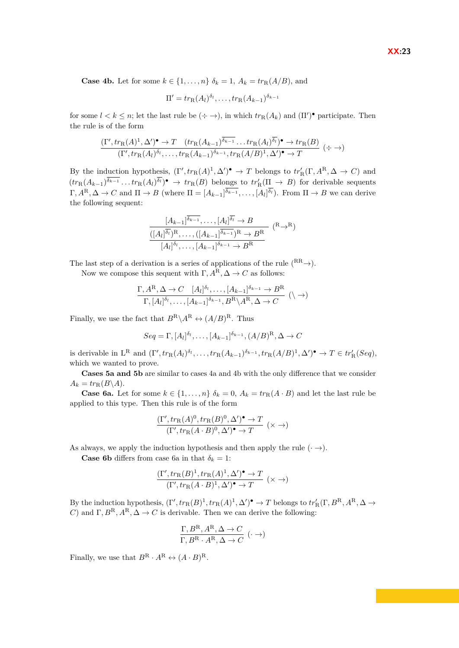**Case 4b.** Let for some  $k \in \{1, \ldots, n\}$   $\delta_k = 1$ ,  $A_k = tr_R(A/B)$ , and

$$
\Pi' = tr_{\mathcal{R}}(A_l)^{\delta_l}, \dots, tr_{\mathcal{R}}(A_{k-1})^{\delta_{k-1}}
$$

for some  $l < k \leq n$ ; let the last rule be  $(\div \to)$ , in which  $tr_R(A_k)$  and  $(\Pi')^{\bullet}$  participate. Then the rule is of the form

$$
\frac{(\Gamma', tr_{\mathcal{R}}(A)^1, \Delta')^{\bullet} \to T \quad (tr_{\mathcal{R}}(A_{k-1})^{\delta_{k-1}} \dots tr_{\mathcal{R}}(A_l)^{\delta_l})^{\bullet} \to tr_{\mathcal{R}}(B)}{(\Gamma', tr_{\mathcal{R}}(A_l)^{\delta_l}, \dots, tr_{\mathcal{R}}(A_{k-1})^{\delta_{k-1}}, tr_{\mathcal{R}}(A/B)^1, \Delta')^{\bullet} \to T} (\div \to)
$$

By the induction hypothesis,  $(\Gamma', tr_R(A)^1, \Delta')^{\bullet} \to T$  belongs to  $tr'_{R}(\Gamma, A^R, \Delta \to C)$  and  $(tr_R(A_{k-1})^{\delta_{k-1}} \dots tr_R(A_l)^{\delta_l} \to tr_R(B)$  belongs to  $tr'_R(\Pi \to B)$  for derivable sequents  $\Gamma, A^R, \Delta \to C$  and  $\Pi \to B$  (where  $\Pi = [A_{k-1}]^{\delta_{k-1}}, \ldots, [A_l]^{\delta_l}$ ). From  $\Pi \to B$  we can derive the following sequent:

$$
\frac{[A_{k-1}]^{\delta_{k-1}}, \dots, [A_l]^{\delta_l} \to B}{([A_l]^{\delta_l})^R, \dots, ([A_{k-1}]^{\delta_{k-1}})^R \to B^R}
$$

$$
\frac{[A_l]^{\delta_l}, \dots, [A_{k-1}]^{\delta_{k-1}} \to B^R}{[A_l]^{\delta_l}, \dots, [A_{k-1}]^{\delta_{k-1}} \to B^R}
$$

The last step of a derivation is a series of applications of the rule  $({}^{RR}\rightarrow)$ .

Now we compose this sequent with  $\Gamma$ ,  $A^R$ ,  $\Delta \to C$  as follows:

$$
\frac{\Gamma, A^R, \Delta \to C \quad [A_l]^{\delta_l}, \dots, [A_{k-1}]^{\delta_{k-1}} \to B^R}{\Gamma, [A_l]^{\delta_l}, \dots, [A_{k-1}]^{\delta_{k-1}}, B^R \setminus A^R, \Delta \to C} \quad (\mathcal{A})
$$

Finally, we use the fact that  $B^R \backslash A^R \leftrightarrow (A/B)^R$ . Thus

$$
Seq = \Gamma, [A_l]^{\delta_l}, \dots, [A_{k-1}]^{\delta_{k-1}}, (A/B)^{R}, \Delta \to C
$$

is derivable in  $L^R$  and  $(\Gamma', tr_R(A_l)^{\delta_l}, \ldots, tr_R(A_{k-1})^{\delta_{k-1}}, tr_R(A/B)^1, \Delta')^{\bullet} \to T \in tr'_{R}(Seq)$ , which we wanted to prove.

**Cases 5a and 5b** are similar to cases 4a and 4b with the only difference that we consider  $A_k = tr_R(B \setminus A).$ 

**Case 6a.** Let for some  $k \in \{1, ..., n\}$   $\delta_k = 0$ ,  $A_k = tr_R(A \cdot B)$  and let the last rule be applied to this type. Then this rule is of the form

$$
\frac{(\Gamma', tr_{\mathcal{R}}(A)^0, tr_{\mathcal{R}}(B)^0, \Delta')^{\bullet} \to T}{(\Gamma', tr_{\mathcal{R}}(A \cdot B)^0, \Delta')^{\bullet} \to T} (\times \to)
$$

As always, we apply the induction hypothesis and then apply the rule  $(\cdot \rightarrow)$ .

**Case 6b** differs from case 6a in that  $\delta_k = 1$ :

$$
\frac{(\Gamma', tr_{\mathcal{R}}(B)^1, tr_{\mathcal{R}}(A)^1, \Delta')^{\bullet} \to T}{(\Gamma', tr_{\mathcal{R}}(A \cdot B)^1, \Delta')^{\bullet} \to T} (\times \to)
$$

By the induction hypothesis,  $(\Gamma', tr_R(B)^1, tr_R(A)^1, \Delta')^{\bullet} \to T$  belongs to  $tr_R'(\Gamma, B^R, A^R, \Delta \to$ *C*) and  $\Gamma, B^R, A^R, \Delta \to C$  is derivable. Then we can derive the following:

$$
\frac{\Gamma, B^{\rm R}, A^{\rm R}, \Delta \to C}{\Gamma, B^{\rm R} \cdot A^{\rm R}, \Delta \to C} (\cdot \to)
$$

Finally, we use that  $B^R \cdot A^R \leftrightarrow (A \cdot B)^R$ .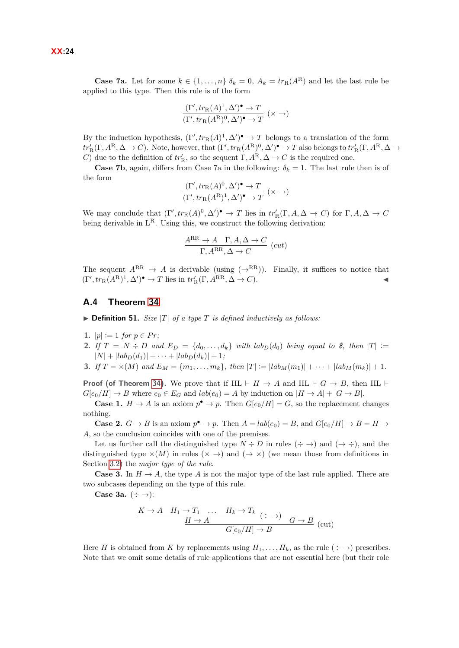**Case 7a.** Let for some  $k \in \{1, \ldots, n\}$   $\delta_k = 0$ ,  $A_k = tr_R(A^R)$  and let the last rule be applied to this type. Then this rule is of the form

$$
\frac{(\Gamma', tr_{\mathcal{R}}(A)^1, \Delta')^{\bullet} \to T}{(\Gamma', tr_{\mathcal{R}}(A^{\mathcal{R}})^0, \Delta')^{\bullet} \to T} (\times \to)
$$

By the induction hypothesis,  $(\Gamma', tr_R(A)^1, \Delta')^{\bullet} \to T$  belongs to a translation of the form  $tr_R'(\Gamma, A^R, \Delta \to C)$ . Note, however, that  $(\Gamma', tr_R(A^R)^0, \Delta')^{\bullet} \to T$  also belongs to  $tr_R'(\Gamma, A^R, \Delta \to C)$ *C*) due to the definition of  $tr'_{\mathbb{R}}$ , so the sequent  $\Gamma$ ,  $A^{\mathbb{R}}, \Delta \to C$  is the required one.

**Case 7b**, again, differs from Case 7a in the following:  $\delta_k = 1$ . The last rule then is of the form

$$
\frac{(\Gamma', tr_{\mathcal{R}}(A)^0, \Delta')^{\bullet} \to T}{(\Gamma', tr_{\mathcal{R}}(A^{\mathcal{R}})^1, \Delta')^{\bullet} \to T} (\times \to)
$$

We may conclude that  $(\Gamma', tr_R(A)^0, \Delta')^{\bullet} \to T$  lies in  $tr'_{R}(\Gamma, A, \Delta \to C)$  for  $\Gamma, A, \Delta \to C$ being derivable in  $L^R$ . Using this, we construct the following derivation:

$$
\frac{A^{RR} \to A \quad \Gamma, A, \Delta \to C}{\Gamma, A^{RR}, \Delta \to C} \ (cut)
$$

The sequent  $A^{RR} \rightarrow A$  is derivable (using  $(\rightarrow^{RR})$ ). Finally, it suffices to notice that  $(\Gamma', tr_R(A^R)^1, \Delta')^{\bullet} \to T$  lies in  $tr_R'(\Gamma, A^{RR}, \Delta \to C)$ .

#### **A.4 Theorem [34](#page-13-3)**

 $\triangleright$  **Definition 51.** *Size* |*T*| *of a type T is defined inductively as follows:* 

- **1.**  $|p| := 1$  *for*  $p \in Pr$ ;
- **2.** If  $T = N \div D$  and  $E_D = \{d_0, \ldots, d_k\}$  with  $lab_D(d_0)$  being equal to \$, then  $|T| :=$  $|N| + |lab_D(d_1)| + \cdots + |lab_D(d_k)| + 1;$
- **3.** If  $T = \times (M)$  and  $E_M = \{m_1, \ldots, m_k\}$ , then  $|T| := |lab_M(m_1)| + \cdots + |lab_M(m_k)| + 1$ .

**Proof (of Theorem [34\)](#page-13-3).** We prove that if  $HL \vdash H \rightarrow A$  and  $HL \vdash G \rightarrow B$ , then  $HL \vdash$  $G[e_0/H] \to B$  where  $e_0 \in E_G$  and  $lab(e_0) = A$  by induction on  $|H \to A| + |G \to B|$ .

**Case 1.**  $H \to A$  is an axiom  $p^{\bullet} \to p$ . Then  $G[e_0/H] = G$ , so the replacement changes nothing.

**Case 2.**  $G \to B$  is an axiom  $p^{\bullet} \to p$ . Then  $A = lab(e_0) = B$ , and  $G[e_0/H] \to B = H \to$ *A*, so the conclusion coincides with one of the premises.

Let us further call the distinguished type  $N \div D$  in rules  $(\div \rightarrow)$  and  $(\rightarrow \div)$ , and the distinguished type  $\times(M)$  in rules ( $\times \rightarrow$ ) and ( $\rightarrow \times$ ) (we mean those from definitions in Section [3.2\)](#page-5-1) the *major type of the rule*.

**Case 3.** In  $H \to A$ , the type *A* is not the major type of the last rule applied. There are two subcases depending on the type of this rule.

**Case 3a.**  $(\div \rightarrow)$ :

$$
\frac{K \to A \quad H_1 \to T_1 \quad \dots \quad H_k \to T_k \quad (\div \to) \quad G \to B \quad (\text{cut})}{H \to A \quad G[e_0/H] \to B}
$$

Here *H* is obtained from *K* by replacements using  $H_1, \ldots, H_k$ , as the rule  $(\div \rightarrow)$  prescribes. Note that we omit some details of rule applications that are not essential here (but their role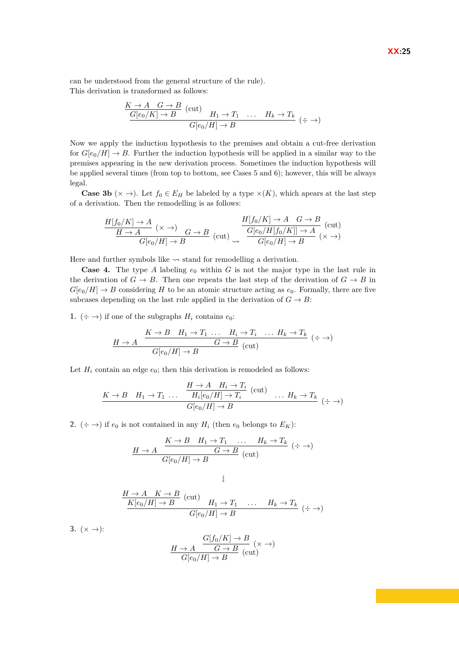can be understood from the general structure of the rule). This derivation is transformed as follows:

$$
\frac{K \to A \quad G \to B}{G[e_0/K] \to B} \quad (\text{cut}) \quad H_1 \to T_1 \quad \dots \quad H_k \to T_k \quad (\div \to)
$$

$$
\frac{G[e_0/H] \to B}{G[e_0/H] \to B} \quad (\div \to)
$$

Now we apply the induction hypothesis to the premises and obtain a cut-free derivation for  $G[e_0/H] \to B$ . Further the induction hypothesis will be applied in a similar way to the premises appearing in the new derivation process. Sometimes the induction hypothesis will be applied several times (from top to bottom, see Cases 5 and 6); however, this will be always legal.

**Case 3b** ( $\times \rightarrow$ ). Let  $f_0 \in E_H$  be labeled by a type  $\times(K)$ , which apears at the last step of a derivation. Then the remodelling is as follows:

$$
\frac{H[f_0/K] \to A}{\frac{H \to A}{G[e_0/H] \to B}} \xrightarrow[G]{} \frac{H[f_0/K] \to A \quad G \to B}{\frac{G[e_0/H[f_0/K]] \to A}{G[e_0/H] \to B}} \text{(cut)}
$$

Here and further symbols like  $\rightsquigarrow$  stand for remodelling a derivation.

**Case 4.** The type A labeling  $e_0$  within G is not the major type in the last rule in the derivation of  $G \to B$ . Then one repeats the last step of the derivation of  $G \to B$  in  $G[e_0/H] \to B$  considering *H* to be an atomic structure acting as  $e_0$ . Formally, there are five subcases depending on the last rule applied in the derivation of  $G \to B$ :

**1.**  $(\div \rightarrow)$  if one of the subgraphs  $H_i$  contains  $e_0$ :

$$
\frac{H \to A}{G[e_0/H] \to B} \xrightarrow{K \to B} \frac{H_1 \to T_1 \dots H_i \to T_i \dots H_k \to T_k}{G[e_0/H] \to B} (\div \to)
$$

Let  $H_i$  contain an edge  $e_0$ ; then this derivation is remodeled as follows:

$$
\frac{K \to B \quad H_1 \to T_1 \quad \dots \quad \frac{H \to A \quad H_i \to T_i}{H_i[e_0/H] \to T_i} \quad (\text{cut}) \quad \dots \quad H_k \to T_k}{G[e_0/H] \to B} \quad (\div \to)
$$

**2.**  $(\div \rightarrow)$  if  $e_0$  is not contained in any  $H_i$  (then  $e_0$  belongs to  $E_K$ ):

$$
\frac{H \to A}{H \to A} \frac{K \to B \quad H_1 \to T_1 \quad \dots \quad H_k \to T_k}{G[e_0/H] \to B} (\div \to)
$$

$$
\frac{H \to A \quad K \to B}{K[e_0/H] \to B} \quad \text{(cut)} \quad H_1 \to T_1 \quad \dots \quad H_k \to T_k \quad (\div \to)
$$
  

$$
G[e_0/H] \to B
$$

 $\left\{ \right.$ 

**3.**  $(x \rightarrow)$ :

$$
\frac{H \to A}{G[e_0/H] \to B} (\times \to)
$$
  

$$
\frac{H \to A}{G[e_0/H] \to B} (\text{cut})
$$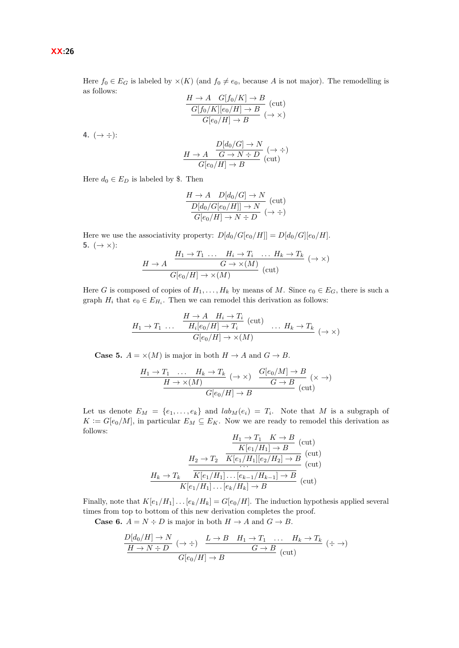Here  $f_0 \in E_G$  is labeled by  $\times(K)$  (and  $f_0 \neq e_0$ , because A is not major). The remodelling is as follows:

$$
\frac{H \to A \quad G[f_0/K] \to B}{\frac{G[f_0/K][e_0/H] \to B}{G[e_0/H] \to B}} \text{(cut)}
$$

**4.**  $(\to \div)$ :

$$
\frac{H \to A \quad \frac{D[d_0/G] \to N}{G \to N \div D} (\to \div)}{G[e_0/H] \to B}
$$
 (cut)

Here  $d_0 \in E_D$  is labeled by \$. Then

$$
\frac{H \to A \quad D[d_0/G] \to N}{D[d_0/G[e_0/H]] \to N} \text{ (cut)}
$$
  

$$
\frac{D[d_0/G[e_0/H]] \to N \to D}{G[e_0/H] \to N \to D} (\to \div)
$$

Here we use the associativity property:  $D[d_0/G[e_0/H]] = D[d_0/G][e_0/H]$ . **5.** ( $\rightarrow \times$ ):

$$
\frac{H_1 \to T_1 \dots H_i \to T_i \dots H_k \to T_k}{G[\epsilon_0/H] \to \times(M)} \text{ (cut)} \quad (\to \times)
$$

Here *G* is composed of copies of  $H_1, \ldots, H_k$  by means of *M*. Since  $e_0 \in E_G$ , there is such a graph  $H_i$  that  $e_0 \in E_{H_i}$ . Then we can remodel this derivation as follows:

$$
\frac{H \to A \quad H_i \to T_i}{H_i[e_0/H] \to T_i} \quad (\text{cut}) \quad \dots \quad H_k \to T_k
$$
\n
$$
G[e_0/H] \to \times (M)
$$
\n
$$
\longrightarrow
$$

**Case 5.**  $A = \times (M)$  is major in both  $H \to A$  and  $G \to B$ .

$$
\frac{H_1 \to T_1 \quad \dots \quad H_k \to T_k}{H \to \times(M)} \quad (\to \times) \quad \frac{G[e_0/M] \to B}{G \to B} \quad (\times \to)
$$
  

$$
\frac{H \to \times(M)}{G[e_0/H] \to B} \quad (\text{cut})
$$

Let us denote  $E_M = \{e_1, \ldots, e_k\}$  and  $lab_M(e_i) = T_i$ . Note that M is a subgraph of  $K := G[e_0/M]$ , in particular  $E_M \subseteq E_K$ . Now we are ready to remodel this derivation as follows:

$$
\frac{H_1 \to T_1 \quad K \to B}{K[e_1/H_1] \to B} \quad \text{(cut)}
$$
\n
$$
\frac{H_2 \to T_2}{K[e_1/H_1][e_2/H_2] \to B} \quad \text{(cut)}
$$
\n
$$
\frac{H_k \to T_k \quad \overline{K[e_1/H_1] \dots [e_{k-1}/H_{k-1}] \to B}}{K[e_1/H_1] \dots [e_k/H_k] \to B} \quad \text{(cut)}
$$

Finally, note that  $K[e_1/H_1] \dots [e_k/H_k] = G[e_0/H]$ . The induction hypothesis applied several times from top to bottom of this new derivation completes the proof.

**Case 6.**  $A = N \div D$  is major in both  $H \to A$  and  $G \to B$ .

$$
\frac{D[d_0/H] \to N}{H \to N \div D} \; (\to \div) \; \frac{L \to B \quad H_1 \to T_1 \quad \dots \quad H_k \to T_k}{G \to B} \; (\div \to)
$$
  

$$
G[e_0/H] \to B \; (\text{cut})
$$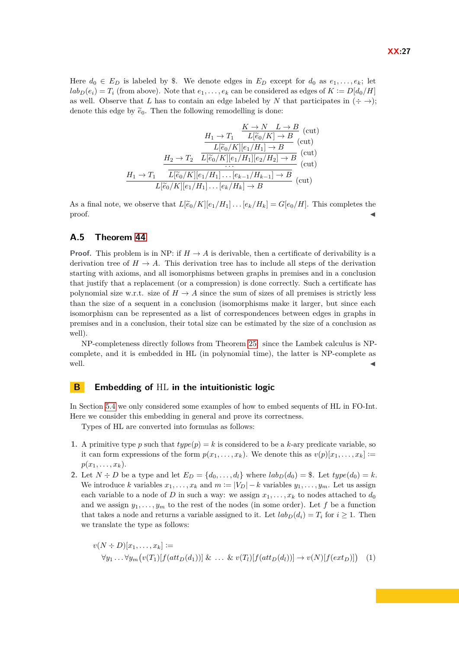Here  $d_0 \in E_D$  is labeled by \$. We denote edges in  $E_D$  except for  $d_0$  as  $e_1, \ldots, e_k$ ; let  $lab_D(e_i) = T_i$  (from above). Note that  $e_1, \ldots, e_k$  can be considered as edges of  $K := D[d_0/H]$ as well. Observe that *L* has to contain an edge labeled by *N* that participates in  $(\div \rightarrow)$ ; denote this edge by  $\tilde{e}_0$ . Then the following remodelling is done:

$$
\frac{H_1 \to T_1 \xrightarrow{K \to N} L \to B}{L[\widetilde{e}_0/K] \to B} \text{ (cut)}
$$
\n
$$
\frac{H_2 \to T_2 \xrightarrow{L[\widetilde{e}_0/K][e_1/H_1] \to B} \text{ (cut)}}{L[\widetilde{e}_0/K][e_1/H_1][e_2/H_2] \to B} \text{ (cut)}
$$
\n
$$
\frac{H_1 \to T_1 \xrightarrow{L[\widetilde{e}_0/K][e_1/H_1] \dots [e_{k-1}/H_{k-1}] \to B} \text{ (cut)}}{L[\widetilde{e}_0/K][e_1/H_1] \dots [e_k/H_k] \to B} \text{ (cut)}
$$

As a final note, we observe that  $L[\tilde{e}_0/K][e_1/H_1] \dots [e_k/H_k] = G[e_0/H]$ . This completes the proof.  $\blacksquare$ proof.

#### **A.5 Theorem [44](#page-15-2)**

**Proof.** This problem is in NP: if  $H \to A$  is derivable, then a certificate of derivability is a derivation tree of  $H \to A$ . This derivation tree has to include all steps of the derivation starting with axioms, and all isomorphisms between graphs in premises and in a conclusion that justify that a replacement (or a compression) is done correctly. Such a certificate has polynomial size w.r.t. size of  $H \to A$  since the sum of sizes of all premises is strictly less than the size of a sequent in a conclusion (isomorphisms make it larger, but since each isomorphism can be represented as a list of correspondences between edges in graphs in premises and in a conclusion, their total size can be estimated by the size of a conclusion as well).

NP-completeness directly follows from Theorem [25:](#page-8-2) since the Lambek calculus is NPcomplete, and it is embedded in HL (in polynomial time), the latter is NP-complete as well.  $\blacksquare$ 

#### <span id="page-26-0"></span>**B Embedding of** HL **in the intuitionistic logic**

In Section [5.4](#page-15-3) we only considered some examples of how to embed sequents of HL in FO-Int. Here we consider this embedding in general and prove its correctness.

Types of HL are converted into formulas as follows:

- **1.** A primitive type p such that  $type(p) = k$  is considered to be a k-ary predicate variable, so it can form expressions of the form  $p(x_1, \ldots, x_k)$ . We denote this as  $v(p)[x_1, \ldots, x_k] :=$  $p(x_1, \ldots, x_k)$ .
- **2.** Let  $N \div D$  be a type and let  $E_D = \{d_0, \ldots, d_l\}$  where  $lab_D(d_0) =$  \$. Let  $type(d_0) = k$ . We introduce *k* variables  $x_1, \ldots, x_k$  and  $m := |V_D| - k$  variables  $y_1, \ldots, y_m$ . Let us assign each variable to a node of *D* in such a way: we assign  $x_1, \ldots, x_k$  to nodes attached to  $d_0$ and we assign  $y_1, \ldots, y_m$  to the rest of the nodes (in some order). Let f be a function that takes a node and returns a variable assigned to it. Let  $lab_D(d_i) = T_i$  for  $i \ge 1$ . Then we translate the type as follows:

$$
v(N \div D)[x_1, \ldots, x_k] :=
$$
  

$$
\forall y_1 \ldots \forall y_m \big( v(T_1)[f(att_D(d_1))] \& \ldots \& v(T_l)[f(att_D(d_l))] \rightarrow v(N)[f(ext_D)] \big)
$$
 (1)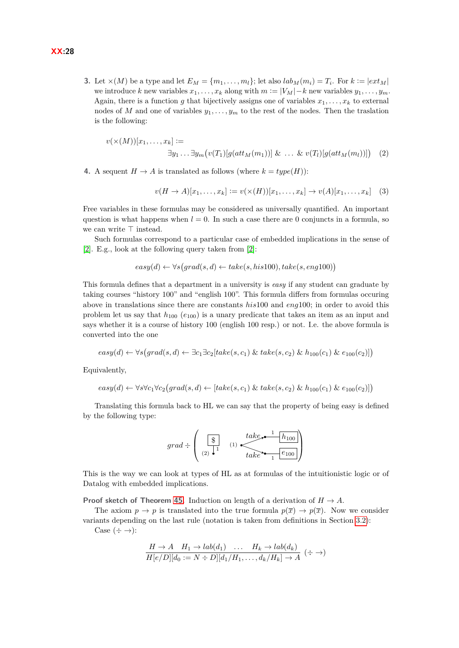**3.** Let  $\times$  (*M*) be a type and let  $E_M = \{m_1, \ldots, m_l\}$ ; let also  $lab_M(m_i) = T_i$ . For  $k := |ext_M|$ we introduce *k* new variables  $x_1, \ldots, x_k$  along with  $m := |V_M| - k$  new variables  $y_1, \ldots, y_m$ . Again, there is a function *g* that bijectively assigns one of variables  $x_1, \ldots, x_k$  to external nodes of *M* and one of variables  $y_1, \ldots, y_m$  to the rest of the nodes. Then the traslation is the following:

$$
v(\times(M))[x_1,\ldots,x_k] :=
$$
  

$$
\exists y_1 \ldots \exists y_m \big( v(T_1)[g(at t_M(m_1))] \& \ldots \& v(T_l)[g(at t_M(m_l))]\big) \quad (2)
$$

**4.** A sequent  $H \to A$  is translated as follows (where  $k = type(H)$ ):

$$
v(H \to A)[x_1, \dots, x_k] := v(\times(H))[x_1, \dots, x_k] \to v(A)[x_1, \dots, x_k] \quad (3)
$$

Free variables in these formulas may be considered as universally quantified. An important question is what happens when  $l = 0$ . In such a case there are 0 conjuncts in a formula, so we can write  $\top$  instead.

Such formulas correspond to a particular case of embedded implications in the sense of [\[2\]](#page-16-7). E.g., look at the following query taken from [\[2\]](#page-16-7):

$$
easy(d) \leftarrow \forall s \big(grad(s, d) \leftarrow take(s, his 100), take(s, eng 100)\big)
$$

This formula defines that a department in a university is *easy* if any student can graduate by taking courses "history 100" and "english 100". This formula differs from formulas occuring above in translations since there are constants *his*100 and *eng*100; in order to avoid this problem let us say that *h*<sup>100</sup> (*e*100) is a unary predicate that takes an item as an input and says whether it is a course of history 100 (english 100 resp.) or not. I.e. the above formula is converted into the one

$$
easy(d) \leftarrow \forall s \big(grad(s, d) \leftarrow \exists c_1 \exists c_2 [take(s, c_1) \& take(s, c_2) \& h_{100}(c_1) \& e_{100}(c_2)] \big)
$$

Equivalently,

$$
easy(d) \leftarrow \forall s \forall c_1 \forall c_2 \big(\text{grad}(s, d) \leftarrow [take(s, c_1) \& take(s, c_2) \& h_{100}(c_1) \& e_{100}(c_2)]\big)
$$

Translating this formula back to HL we can say that the property of being easy is defined by the following type:

$$
grad \div \left(\begin{array}{cc} \boxed{\$} & \text{take.} \end{array}\right) \xrightarrow{\text{take.} \begin{array}{c} \text{take.} \end{array}} \frac{1}{1} \begin{array}{c} \text{true.} \end{array}\right)
$$

This is the way we can look at types of HL as at formulas of the intuitionistic logic or of Datalog with embedded implications.

**Proof sketch of Theorem [45.](#page-15-4)** Induction on length of a derivation of  $H \to A$ .

The axiom  $p \to p$  is translated into the true formula  $p(\bar{x}) \to p(\bar{x})$ . Now we consider variants depending on the last rule (notation is taken from definitions in Section [3.2\)](#page-5-1):

Case  $(\div \rightarrow)$ :

$$
\frac{H \to A \quad H_1 \to lab(d_1) \quad \dots \quad H_k \to lab(d_k)}{H[e/D][d_0 := N \div D][d_1/H_1, \dots, d_k/H_k] \to A} \; (\div \to)
$$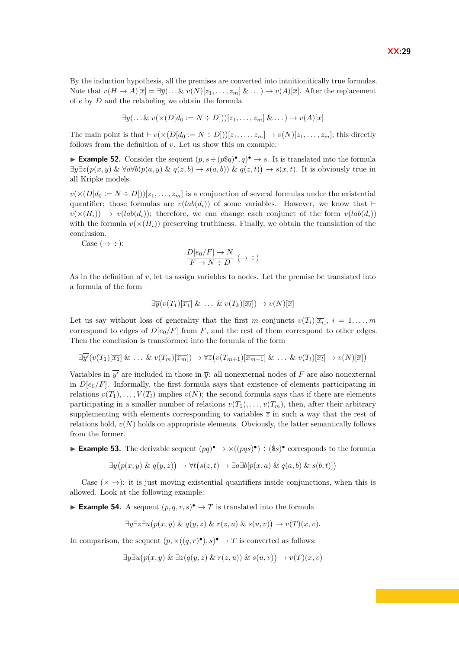**XX:29**

By the induction hypothesis, all the premises are converted into intuitionitically true formulas. Note that  $v(H \to A)[\overline{x}] = \exists \overline{y}(\ldots \& v(N)[z_1, \ldots, z_m] \& \ldots) \to v(A)[\overline{x}]$ . After the replacement of *e* by *D* and the relabeling we obtain the formula

$$
\exists \overline{y}(\dots \&\ v(\times (D[d_0 := N \div D]))[z_1, \dots, z_m] \& \dots) \rightarrow v(A)[\overline{x}]
$$

The main point is that  $\vdash v(\times(D[d_0 := N \div D]))[z_1, \ldots, z_m] \rightarrow v(N)[z_1, \ldots, z_m]$ ; this directly follows from the definition of *v*. Let us show this on example:

**Example 52.** Consider the sequent  $(p, s \div (p\$\{q})^{\bullet}, q)^{\bullet} \rightarrow s$ . It is translated into the formula  $\exists y \exists z (p(x, y) \& \forall a \forall b (p(a, y) \& q(z, b) \rightarrow s(a, b)) \& q(z, t)) \rightarrow s(x, t)$ . It is obviously true in all Kripke models.

 $v(\times(D[d_0 := N \div D]))[z_1, \ldots, z_m]$  is a conjunction of several formulas under the existential quantifier; those formulas are  $v(lab(d_i))$  of some variables. However, we know that  $\vdash$  $v(\times(H_i)) \rightarrow v(lab(d_i))$ ; therefore, we can change each conjunct of the form  $v(lab(d_i))$ with the formula  $v(x(H_i))$  preserving truthiness. Finally, we obtain the translation of the conclusion.

Case  $(\rightarrow \div)$ :

$$
\frac{D[e_0/F] \to N}{F \to N \div D} (\to \div)
$$

As in the definition of *v*, let us assign variables to nodes. Let the premise be translated into a formula of the form

$$
\exists \overline{y}(v(T_1)[\overline{x_1}]\&\ \ldots\&\ v(T_k)[\overline{x_l}]) \rightarrow v(N)[\overline{x}]
$$

Let us say without loss of generality that the first *m* conjuncts  $v(T_i)[\overline{x_i}], i = 1, \ldots, m$ correspond to edges of  $D[e_0/F]$  from *F*, and the rest of them correspond to other edges. Then the conclusion is transformed into the formula of the form

$$
\exists \overline{y'}(v(T_1)[\overline{x_1}]\ \& \ \ldots \ \& \ v(T_m)[\overline{x_m}]) \rightarrow \forall \overline{z}(v(T_{m+1})[\overline{x_{m+1}}]\ \& \ \ldots \ \& \ v(T_l)[\overline{x_l}] \rightarrow v(N)[\overline{x}])
$$

Variables in  $\overline{y'}$  are included in those in  $\overline{y}$ : all nonexternal nodes of *F* are also nonexternal in  $D[e_0/F]$ . Informally, the first formula says that existence of elements participating in relations  $v(T_1), \ldots, V(T_l)$  implies  $v(N)$ ; the second formula says that if there are elements participating in a smaller number of relations  $v(T_1), \ldots, v(T_m)$ , then, after their arbitrary supplementing with elements corresponding to variables  $\overline{z}$  in such a way that the rest of relations hold,  $v(N)$  holds on appropriate elements. Obviously, the latter semantically follows from the former.

**Example 53.** The derivable sequent  $(pq)^{\bullet} \rightarrow \times ((pqs)^{\bullet}) \div (\$s)$ <sup>o</sup> corresponds to the formula

$$
\exists y (p(x, y) \& q(y, z)) \rightarrow \forall t (s(z, t) \rightarrow \exists a \exists b [p(x, a) \& q(a, b) \& s(b, t)])
$$

Case  $(\times \rightarrow)$ : it is just moving existential quantifiers inside conjunctions, when this is allowed. Look at the following example:

**Example 54.** A sequent  $(p, q, r, s)$ <sup> $\bullet$ </sup>  $\rightarrow$  *T* is translated into the formula

$$
\exists y \exists z \exists u (p(x, y) \& q(y, z) \& r(z, u) \& s(u, v)) \rightarrow v(T)(x, v).
$$

In comparison, the sequent  $(p, \times ((q, r)^{\bullet}), s)^{\bullet} \to T$  is converted as follows:

$$
\exists y \exists u (p(x, y) \& \exists z (q(y, z) \& r(z, u)) \& s(u, v)) \rightarrow v(T)(x, v)
$$